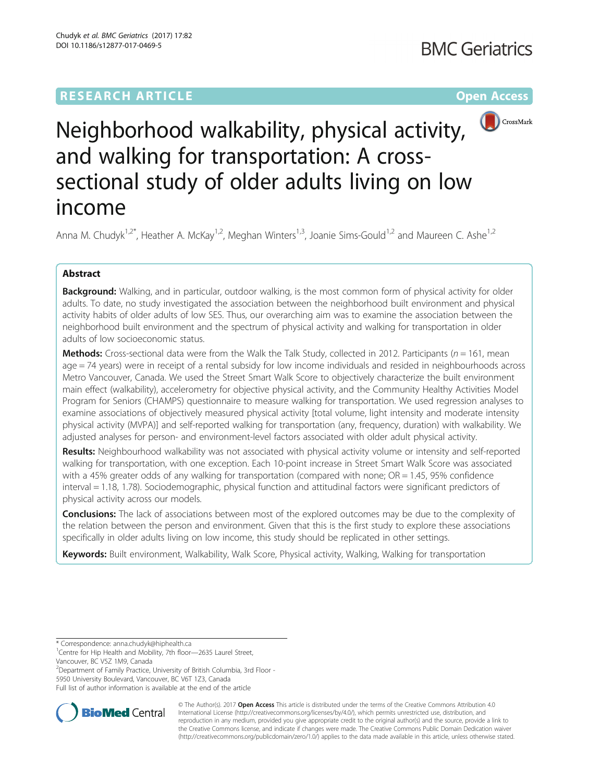

Neighborhood walkability, physical activity, and walking for transportation: A crosssectional study of older adults living on low income

Anna M. Chudyk<sup>1,2\*</sup>, Heather A. McKay<sup>1,2</sup>, Meghan Winters<sup>1,3</sup>, Joanie Sims-Gould<sup>1,2</sup> and Maureen C. Ashe<sup>1,2</sup>

# Abstract

Background: Walking, and in particular, outdoor walking, is the most common form of physical activity for older adults. To date, no study investigated the association between the neighborhood built environment and physical activity habits of older adults of low SES. Thus, our overarching aim was to examine the association between the neighborhood built environment and the spectrum of physical activity and walking for transportation in older adults of low socioeconomic status.

**Methods:** Cross-sectional data were from the Walk the Talk Study, collected in 2012. Participants ( $n = 161$ , mean age = 74 years) were in receipt of a rental subsidy for low income individuals and resided in neighbourhoods across Metro Vancouver, Canada. We used the Street Smart Walk Score to objectively characterize the built environment main effect (walkability), accelerometry for objective physical activity, and the Community Healthy Activities Model Program for Seniors (CHAMPS) questionnaire to measure walking for transportation. We used regression analyses to examine associations of objectively measured physical activity [total volume, light intensity and moderate intensity physical activity (MVPA)] and self-reported walking for transportation (any, frequency, duration) with walkability. We adjusted analyses for person- and environment-level factors associated with older adult physical activity.

Results: Neighbourhood walkability was not associated with physical activity volume or intensity and self-reported walking for transportation, with one exception. Each 10-point increase in Street Smart Walk Score was associated with a 45% greater odds of any walking for transportation (compared with none;  $OR = 1.45$ , 95% confidence interval = 1.18, 1.78). Sociodemographic, physical function and attitudinal factors were significant predictors of physical activity across our models.

**Conclusions:** The lack of associations between most of the explored outcomes may be due to the complexity of the relation between the person and environment. Given that this is the first study to explore these associations specifically in older adults living on low income, this study should be replicated in other settings.

Keywords: Built environment, Walkability, Walk Score, Physical activity, Walking, Walking for transportation

<sup>2</sup>Department of Family Practice, University of British Columbia, 3rd Floor -

5950 University Boulevard, Vancouver, BC V6T 1Z3, Canada

Full list of author information is available at the end of the article



© The Author(s). 2017 **Open Access** This article is distributed under the terms of the Creative Commons Attribution 4.0 International License [\(http://creativecommons.org/licenses/by/4.0/](http://creativecommons.org/licenses/by/4.0/)), which permits unrestricted use, distribution, and reproduction in any medium, provided you give appropriate credit to the original author(s) and the source, provide a link to the Creative Commons license, and indicate if changes were made. The Creative Commons Public Domain Dedication waiver [\(http://creativecommons.org/publicdomain/zero/1.0/](http://creativecommons.org/publicdomain/zero/1.0/)) applies to the data made available in this article, unless otherwise stated.

<sup>\*</sup> Correspondence: [anna.chudyk@hiphealth.ca](mailto:anna.chudyk@hiphealth.ca) <sup>1</sup>

<sup>&</sup>lt;sup>1</sup> Centre for Hip Health and Mobility, 7th floor-2635 Laurel Street, Vancouver, BC V5Z 1M9, Canada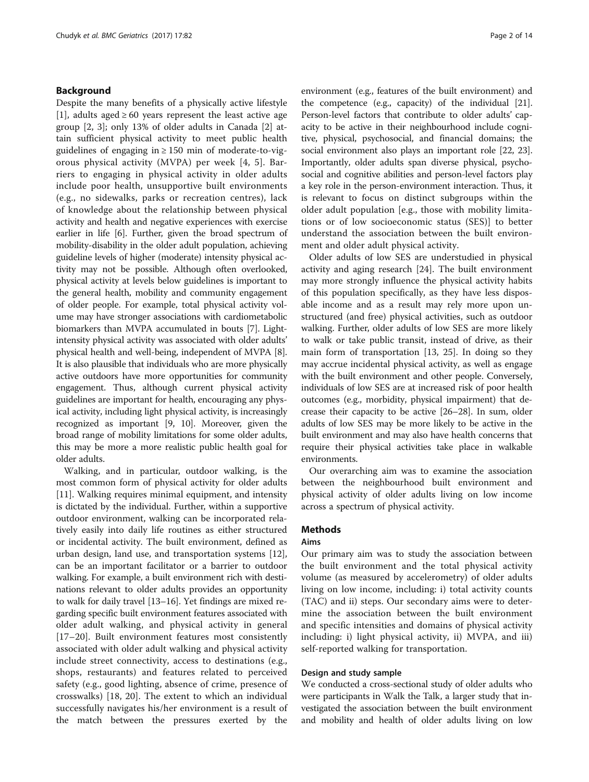# Background

Despite the many benefits of a physically active lifestyle [[1\]](#page-11-0), adults aged  $\geq 60$  years represent the least active age group [[2, 3](#page-11-0)]; only 13% of older adults in Canada [[2\]](#page-11-0) attain sufficient physical activity to meet public health guidelines of engaging in  $\geq 150$  min of moderate-to-vigorous physical activity (MVPA) per week [[4,](#page-11-0) [5](#page-12-0)]. Barriers to engaging in physical activity in older adults include poor health, unsupportive built environments (e.g., no sidewalks, parks or recreation centres), lack of knowledge about the relationship between physical activity and health and negative experiences with exercise earlier in life [[6\]](#page-12-0). Further, given the broad spectrum of mobility-disability in the older adult population, achieving guideline levels of higher (moderate) intensity physical activity may not be possible. Although often overlooked, physical activity at levels below guidelines is important to the general health, mobility and community engagement of older people. For example, total physical activity volume may have stronger associations with cardiometabolic biomarkers than MVPA accumulated in bouts [[7\]](#page-12-0). Lightintensity physical activity was associated with older adults' physical health and well-being, independent of MVPA [[8](#page-12-0)]. It is also plausible that individuals who are more physically active outdoors have more opportunities for community engagement. Thus, although current physical activity guidelines are important for health, encouraging any physical activity, including light physical activity, is increasingly recognized as important [[9, 10](#page-12-0)]. Moreover, given the broad range of mobility limitations for some older adults, this may be more a more realistic public health goal for older adults.

Walking, and in particular, outdoor walking, is the most common form of physical activity for older adults [[11\]](#page-12-0). Walking requires minimal equipment, and intensity is dictated by the individual. Further, within a supportive outdoor environment, walking can be incorporated relatively easily into daily life routines as either structured or incidental activity. The built environment, defined as urban design, land use, and transportation systems [\[12](#page-12-0)], can be an important facilitator or a barrier to outdoor walking. For example, a built environment rich with destinations relevant to older adults provides an opportunity to walk for daily travel [[13](#page-12-0)–[16\]](#page-12-0). Yet findings are mixed regarding specific built environment features associated with older adult walking, and physical activity in general [[17](#page-12-0)–[20\]](#page-12-0). Built environment features most consistently associated with older adult walking and physical activity include street connectivity, access to destinations (e.g., shops, restaurants) and features related to perceived safety (e.g., good lighting, absence of crime, presence of crosswalks) [[18](#page-12-0), [20\]](#page-12-0). The extent to which an individual successfully navigates his/her environment is a result of the match between the pressures exerted by the environment (e.g., features of the built environment) and the competence (e.g., capacity) of the individual [[21](#page-12-0)]. Person-level factors that contribute to older adults' capacity to be active in their neighbourhood include cognitive, physical, psychosocial, and financial domains; the social environment also plays an important role [\[22, 23](#page-12-0)]. Importantly, older adults span diverse physical, psychosocial and cognitive abilities and person-level factors play a key role in the person-environment interaction. Thus, it is relevant to focus on distinct subgroups within the older adult population [e.g., those with mobility limitations or of low socioeconomic status (SES)] to better understand the association between the built environment and older adult physical activity.

Older adults of low SES are understudied in physical activity and aging research [\[24\]](#page-12-0). The built environment may more strongly influence the physical activity habits of this population specifically, as they have less disposable income and as a result may rely more upon unstructured (and free) physical activities, such as outdoor walking. Further, older adults of low SES are more likely to walk or take public transit, instead of drive, as their main form of transportation [[13, 25\]](#page-12-0). In doing so they may accrue incidental physical activity, as well as engage with the built environment and other people. Conversely, individuals of low SES are at increased risk of poor health outcomes (e.g., morbidity, physical impairment) that decrease their capacity to be active [\[26](#page-12-0)–[28](#page-12-0)]. In sum, older adults of low SES may be more likely to be active in the built environment and may also have health concerns that require their physical activities take place in walkable environments.

Our overarching aim was to examine the association between the neighbourhood built environment and physical activity of older adults living on low income across a spectrum of physical activity.

# Methods

# Aims

Our primary aim was to study the association between the built environment and the total physical activity volume (as measured by accelerometry) of older adults living on low income, including: i) total activity counts (TAC) and ii) steps. Our secondary aims were to determine the association between the built environment and specific intensities and domains of physical activity including: i) light physical activity, ii) MVPA, and iii) self-reported walking for transportation.

# Design and study sample

We conducted a cross-sectional study of older adults who were participants in Walk the Talk, a larger study that investigated the association between the built environment and mobility and health of older adults living on low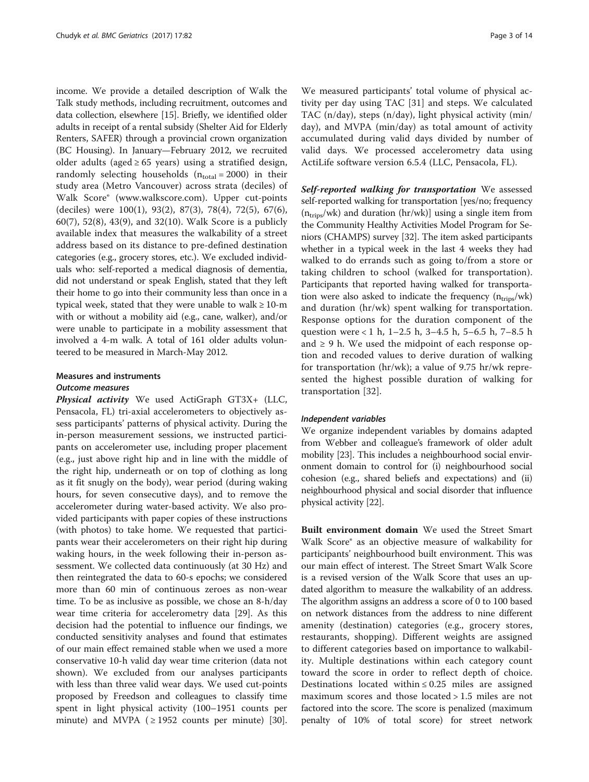income. We provide a detailed description of Walk the Talk study methods, including recruitment, outcomes and data collection, elsewhere [\[15\]](#page-12-0). Briefly, we identified older adults in receipt of a rental subsidy (Shelter Aid for Elderly Renters, SAFER) through a provincial crown organization (BC Housing). In January—February 2012, we recruited older adults (aged  $\geq 65$  years) using a stratified design, randomly selecting households  $(n_{total} = 2000)$  in their study area (Metro Vancouver) across strata (deciles) of Walk Score® [\(www.walkscore.com](http://www.walkscore.com)). Upper cut-points (deciles) were 100(1), 93(2), 87(3), 78(4), 72(5), 67(6), 60(7), 52(8), 43(9), and 32(10). Walk Score is a publicly available index that measures the walkability of a street address based on its distance to pre-defined destination categories (e.g., grocery stores, etc.). We excluded individuals who: self-reported a medical diagnosis of dementia, did not understand or speak English, stated that they left their home to go into their community less than once in a typical week, stated that they were unable to walk  $\geq 10$ -m with or without a mobility aid (e.g., cane, walker), and/or were unable to participate in a mobility assessment that involved a 4-m walk. A total of 161 older adults volunteered to be measured in March-May 2012.

# Measures and instruments

# Outcome measures

Physical activity We used ActiGraph GT3X+ (LLC, Pensacola, FL) tri-axial accelerometers to objectively assess participants' patterns of physical activity. During the in-person measurement sessions, we instructed participants on accelerometer use, including proper placement (e.g., just above right hip and in line with the middle of the right hip, underneath or on top of clothing as long as it fit snugly on the body), wear period (during waking hours, for seven consecutive days), and to remove the accelerometer during water-based activity. We also provided participants with paper copies of these instructions (with photos) to take home. We requested that participants wear their accelerometers on their right hip during waking hours, in the week following their in-person assessment. We collected data continuously (at 30 Hz) and then reintegrated the data to 60-s epochs; we considered more than 60 min of continuous zeroes as non-wear time. To be as inclusive as possible, we chose an 8-h/day wear time criteria for accelerometry data [\[29](#page-12-0)]. As this decision had the potential to influence our findings, we conducted sensitivity analyses and found that estimates of our main effect remained stable when we used a more conservative 10-h valid day wear time criterion (data not shown). We excluded from our analyses participants with less than three valid wear days. We used cut-points proposed by Freedson and colleagues to classify time spent in light physical activity (100–1951 counts per minute) and MVPA ( $\geq$  1952 counts per minute) [\[30](#page-12-0)].

We measured participants' total volume of physical activity per day using TAC [\[31](#page-12-0)] and steps. We calculated TAC (n/day), steps (n/day), light physical activity (min/ day), and MVPA (min/day) as total amount of activity accumulated during valid days divided by number of valid days. We processed accelerometry data using ActiLife software version 6.5.4 (LLC, Pensacola, FL).

Self-reported walking for transportation We assessed self-reported walking for transportation [yes/no; frequency  $(n_{\text{trips}}/wk)$  and duration  $(hr/wk)$  using a single item from the Community Healthy Activities Model Program for Seniors (CHAMPS) survey [\[32\]](#page-12-0). The item asked participants whether in a typical week in the last 4 weeks they had walked to do errands such as going to/from a store or taking children to school (walked for transportation). Participants that reported having walked for transportation were also asked to indicate the frequency  $(n_{\text{trips}}/wk)$ and duration (hr/wk) spent walking for transportation. Response options for the duration component of the question were < 1 h, 1–2.5 h, 3–4.5 h, 5–6.5 h, 7–8.5 h and  $\geq$  9 h. We used the midpoint of each response option and recoded values to derive duration of walking for transportation (hr/wk); a value of 9.75 hr/wk represented the highest possible duration of walking for transportation [\[32](#page-12-0)].

### Independent variables

We organize independent variables by domains adapted from Webber and colleague's framework of older adult mobility [[23](#page-12-0)]. This includes a neighbourhood social environment domain to control for (i) neighbourhood social cohesion (e.g., shared beliefs and expectations) and (ii) neighbourhood physical and social disorder that influence physical activity [\[22](#page-12-0)].

Built environment domain We used the Street Smart Walk Score® as an objective measure of walkability for participants' neighbourhood built environment. This was our main effect of interest. The Street Smart Walk Score is a revised version of the Walk Score that uses an updated algorithm to measure the walkability of an address. The algorithm assigns an address a score of 0 to 100 based on network distances from the address to nine different amenity (destination) categories (e.g., grocery stores, restaurants, shopping). Different weights are assigned to different categories based on importance to walkability. Multiple destinations within each category count toward the score in order to reflect depth of choice. Destinations located within  $\leq 0.25$  miles are assigned maximum scores and those located > 1.5 miles are not factored into the score. The score is penalized (maximum penalty of 10% of total score) for street network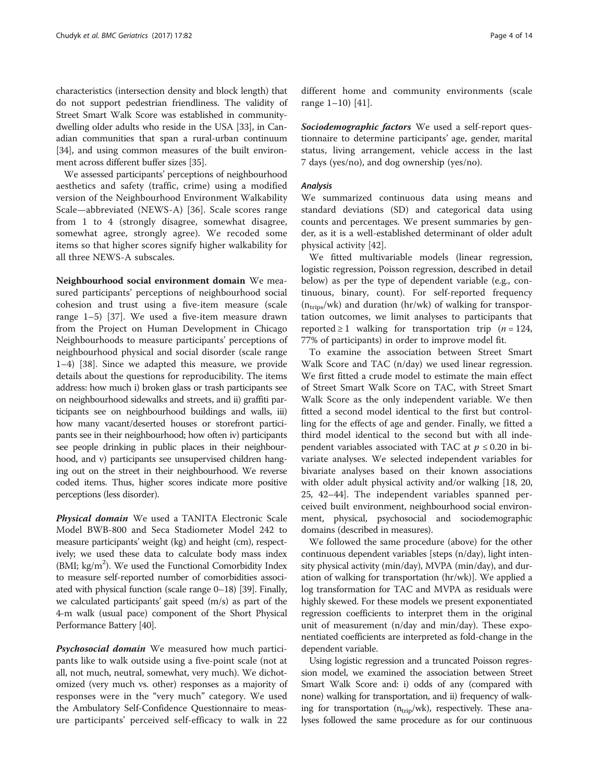characteristics (intersection density and block length) that do not support pedestrian friendliness. The validity of Street Smart Walk Score was established in communitydwelling older adults who reside in the USA [\[33\]](#page-12-0), in Canadian communities that span a rural-urban continuum [[34](#page-12-0)], and using common measures of the built environment across different buffer sizes [\[35\]](#page-12-0).

We assessed participants' perceptions of neighbourhood aesthetics and safety (traffic, crime) using a modified version of the Neighbourhood Environment Walkability Scale—abbreviated (NEWS-A) [[36\]](#page-12-0). Scale scores range from 1 to 4 (strongly disagree, somewhat disagree, somewhat agree, strongly agree). We recoded some items so that higher scores signify higher walkability for all three NEWS-A subscales.

Neighbourhood social environment domain We measured participants' perceptions of neighbourhood social cohesion and trust using a five-item measure (scale range 1–5) [[37](#page-12-0)]. We used a five-item measure drawn from the Project on Human Development in Chicago Neighbourhoods to measure participants' perceptions of neighbourhood physical and social disorder (scale range 1–4) [[38](#page-12-0)]. Since we adapted this measure, we provide details about the questions for reproducibility. The items address: how much i) broken glass or trash participants see on neighbourhood sidewalks and streets, and ii) graffiti participants see on neighbourhood buildings and walls, iii) how many vacant/deserted houses or storefront participants see in their neighbourhood; how often iv) participants see people drinking in public places in their neighbourhood, and v) participants see unsupervised children hanging out on the street in their neighbourhood. We reverse coded items. Thus, higher scores indicate more positive perceptions (less disorder).

Physical domain We used a TANITA Electronic Scale Model BWB-800 and Seca Stadiometer Model 242 to measure participants' weight (kg) and height (cm), respectively; we used these data to calculate body mass index (BMI;  $\text{kg/m}^2$ ). We used the Functional Comorbidity Index to measure self-reported number of comorbidities associated with physical function (scale range 0–18) [\[39\]](#page-12-0). Finally, we calculated participants' gait speed (m/s) as part of the 4-m walk (usual pace) component of the Short Physical Performance Battery [\[40\]](#page-12-0).

**Psychosocial domain** We measured how much participants like to walk outside using a five-point scale (not at all, not much, neutral, somewhat, very much). We dichotomized (very much vs. other) responses as a majority of responses were in the "very much" category. We used the Ambulatory Self-Confidence Questionnaire to measure participants' perceived self-efficacy to walk in 22

different home and community environments (scale range 1–10) [\[41](#page-12-0)].

Sociodemographic factors We used a self-report questionnaire to determine participants' age, gender, marital status, living arrangement, vehicle access in the last 7 days (yes/no), and dog ownership (yes/no).

### Analysis

We summarized continuous data using means and standard deviations (SD) and categorical data using counts and percentages. We present summaries by gender, as it is a well-established determinant of older adult physical activity [[42](#page-12-0)].

We fitted multivariable models (linear regression, logistic regression, Poisson regression, described in detail below) as per the type of dependent variable (e.g., continuous, binary, count). For self-reported frequency  $(n_{\text{trins}}/wk)$  and duration (hr/wk) of walking for transportation outcomes, we limit analyses to participants that reported  $\geq 1$  walking for transportation trip (*n* = 124, 77% of participants) in order to improve model fit.

To examine the association between Street Smart Walk Score and TAC (n/day) we used linear regression. We first fitted a crude model to estimate the main effect of Street Smart Walk Score on TAC, with Street Smart Walk Score as the only independent variable. We then fitted a second model identical to the first but controlling for the effects of age and gender. Finally, we fitted a third model identical to the second but with all independent variables associated with TAC at  $p \le 0.20$  in bivariate analyses. We selected independent variables for bivariate analyses based on their known associations with older adult physical activity and/or walking [\[18](#page-12-0), [20](#page-12-0), [25](#page-12-0), [42](#page-12-0)–[44](#page-12-0)]. The independent variables spanned perceived built environment, neighbourhood social environment, physical, psychosocial and sociodemographic domains (described in measures).

We followed the same procedure (above) for the other continuous dependent variables [steps (n/day), light intensity physical activity (min/day), MVPA (min/day), and duration of walking for transportation (hr/wk)]. We applied a log transformation for TAC and MVPA as residuals were highly skewed. For these models we present exponentiated regression coefficients to interpret them in the original unit of measurement (n/day and min/day). These exponentiated coefficients are interpreted as fold-change in the dependent variable.

Using logistic regression and a truncated Poisson regression model, we examined the association between Street Smart Walk Score and: i) odds of any (compared with none) walking for transportation, and ii) frequency of walking for transportation  $(n_{\text{trip}}/wk)$ , respectively. These analyses followed the same procedure as for our continuous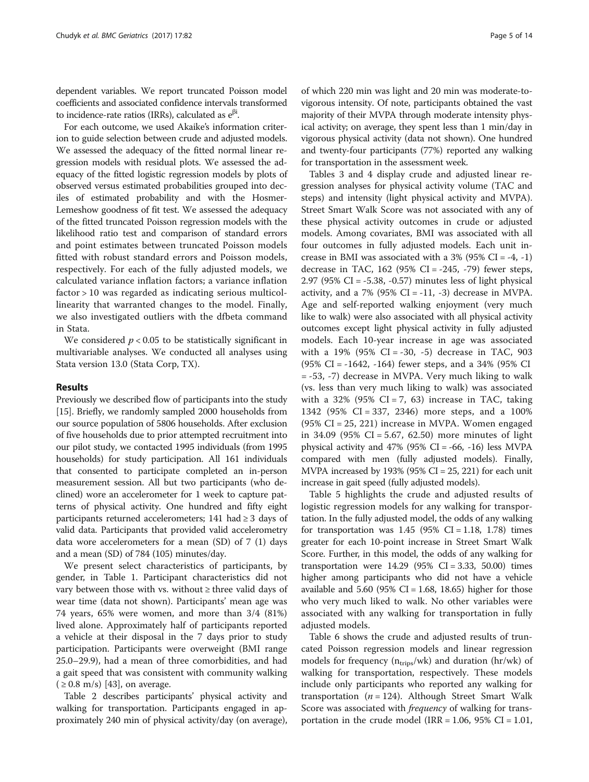dependent variables. We report truncated Poisson model coefficients and associated confidence intervals transformed to incidence-rate ratios (IRRs), calculated as  $e^{\beta i}$ .

For each outcome, we used Akaike's information criterion to guide selection between crude and adjusted models. We assessed the adequacy of the fitted normal linear regression models with residual plots. We assessed the adequacy of the fitted logistic regression models by plots of observed versus estimated probabilities grouped into deciles of estimated probability and with the Hosmer-Lemeshow goodness of fit test. We assessed the adequacy of the fitted truncated Poisson regression models with the likelihood ratio test and comparison of standard errors and point estimates between truncated Poisson models fitted with robust standard errors and Poisson models, respectively. For each of the fully adjusted models, we calculated variance inflation factors; a variance inflation factor > 10 was regarded as indicating serious multicollinearity that warranted changes to the model. Finally, we also investigated outliers with the dfbeta command in Stata.

We considered  $p < 0.05$  to be statistically significant in multivariable analyses. We conducted all analyses using Stata version 13.0 (Stata Corp, TX).

# Results

Previously we described flow of participants into the study [[15](#page-12-0)]. Briefly, we randomly sampled 2000 households from our source population of 5806 households. After exclusion of five households due to prior attempted recruitment into our pilot study, we contacted 1995 individuals (from 1995 households) for study participation. All 161 individuals that consented to participate completed an in-person measurement session. All but two participants (who declined) wore an accelerometer for 1 week to capture patterns of physical activity. One hundred and fifty eight participants returned accelerometers; 141 had ≥ 3 days of valid data. Participants that provided valid accelerometry data wore accelerometers for a mean (SD) of 7 (1) days and a mean (SD) of 784 (105) minutes/day.

We present select characteristics of participants, by gender, in Table [1](#page-5-0). Participant characteristics did not vary between those with vs. without  $\geq$  three valid days of wear time (data not shown). Participants' mean age was 74 years, 65% were women, and more than 3/4 (81%) lived alone. Approximately half of participants reported a vehicle at their disposal in the 7 days prior to study participation. Participants were overweight (BMI range 25.0–29.9), had a mean of three comorbidities, and had a gait speed that was consistent with community walking  $( \geq 0.8 \text{ m/s} )$  [[43\]](#page-12-0), on average.

Table [2](#page-6-0) describes participants' physical activity and walking for transportation. Participants engaged in approximately 240 min of physical activity/day (on average),

of which 220 min was light and 20 min was moderate-tovigorous intensity. Of note, participants obtained the vast majority of their MVPA through moderate intensity physical activity; on average, they spent less than 1 min/day in vigorous physical activity (data not shown). One hundred and twenty-four participants (77%) reported any walking for transportation in the assessment week.

Tables [3](#page-7-0) and [4](#page-8-0) display crude and adjusted linear regression analyses for physical activity volume (TAC and steps) and intensity (light physical activity and MVPA). Street Smart Walk Score was not associated with any of these physical activity outcomes in crude or adjusted models. Among covariates, BMI was associated with all four outcomes in fully adjusted models. Each unit increase in BMI was associated with a  $3\%$  (95% CI = -4, -1) decrease in TAC, 162 (95% CI = -245, -79) fewer steps, 2.97 (95% CI = -5.38, -0.57) minutes less of light physical activity, and a 7% (95% CI = -11, -3) decrease in MVPA. Age and self-reported walking enjoyment (very much like to walk) were also associated with all physical activity outcomes except light physical activity in fully adjusted models. Each 10-year increase in age was associated with a 19% (95% CI = -30, -5) decrease in TAC, 903 (95% CI = -1642, -164) fewer steps, and a 34% (95% CI = -53, -7) decrease in MVPA. Very much liking to walk (vs. less than very much liking to walk) was associated with a 32% (95% CI = 7, 63) increase in TAC, taking 1342 (95% CI = 337, 2346) more steps, and a 100% (95% CI = 25, 221) increase in MVPA. Women engaged in 34.09 (95% CI = 5.67, 62.50) more minutes of light physical activity and  $47\%$  (95% CI = -66, -16) less MVPA compared with men (fully adjusted models). Finally, MVPA increased by 193% (95% CI = 25, 221) for each unit increase in gait speed (fully adjusted models).

Table [5](#page-9-0) highlights the crude and adjusted results of logistic regression models for any walking for transportation. In the fully adjusted model, the odds of any walking for transportation was  $1.45$  (95% CI = 1.18, 1.78) times greater for each 10-point increase in Street Smart Walk Score. Further, in this model, the odds of any walking for transportation were  $14.29$  (95% CI = 3.33, 50.00) times higher among participants who did not have a vehicle available and  $5.60$  (95% CI = 1.68, 18.65) higher for those who very much liked to walk. No other variables were associated with any walking for transportation in fully adjusted models.

Table [6](#page-10-0) shows the crude and adjusted results of truncated Poisson regression models and linear regression models for frequency ( $n_{\text{trips}}/wk$ ) and duration ( $hr/wk$ ) of walking for transportation, respectively. These models include only participants who reported any walking for transportation ( $n = 124$ ). Although Street Smart Walk Score was associated with *frequency* of walking for transportation in the crude model (IRR =  $1.06$ ,  $95\%$  CI =  $1.01$ ,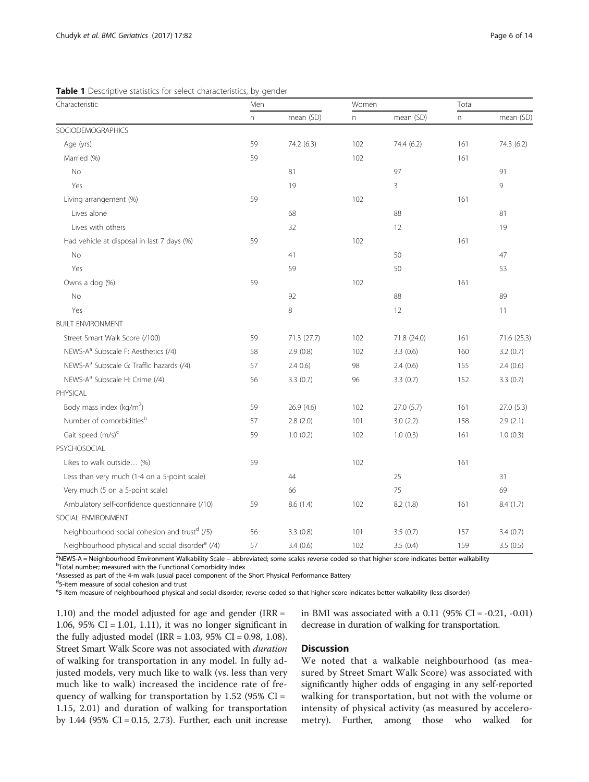<span id="page-5-0"></span>Table 1 Descriptive statistics for select characteristics, by gender

| Characteristic                                               | Men |             | Women |             | Total |             |
|--------------------------------------------------------------|-----|-------------|-------|-------------|-------|-------------|
|                                                              | n   | mean (SD)   | n.    | mean (SD)   | n     | mean (SD)   |
| SOCIODEMOGRAPHICS                                            |     |             |       |             |       |             |
| Age (yrs)                                                    | 59  | 74.2 (6.3)  | 102   | 74.4 (6.2)  | 161   | 74.3 (6.2)  |
| Married (%)                                                  | 59  |             | 102   |             | 161   |             |
| No                                                           |     | 81          |       | 97          |       | 91          |
| Yes                                                          |     | 19          |       | 3           |       | 9           |
| Living arrangement (%)                                       | 59  |             | 102   |             | 161   |             |
| Lives alone                                                  |     | 68          |       | 88          |       | 81          |
| Lives with others                                            |     | 32          |       | 12          |       | 19          |
| Had vehicle at disposal in last 7 days (%)                   | 59  |             | 102   |             | 161   |             |
| No                                                           |     | 41          |       | 50          |       | 47          |
| Yes                                                          |     | 59          |       | 50          |       | 53          |
| Owns a dog (%)                                               | 59  |             | 102   |             | 161   |             |
| No                                                           |     | 92          |       | 88          |       | 89          |
| Yes                                                          |     | 8           |       | 12          |       | 11          |
| <b>BUILT ENVIRONMENT</b>                                     |     |             |       |             |       |             |
| Street Smart Walk Score (/100)                               | 59  | 71.3 (27.7) | 102   | 71.8 (24.0) | 161   | 71.6 (25.3) |
| NEWS-A <sup>a</sup> Subscale F: Aesthetics (/4)              | 58  | 2.9(0.8)    | 102   | 3.3(0.6)    | 160   | 3.2(0.7)    |
| NEWS-A <sup>a</sup> Subscale G: Traffic hazards (/4)         | 57  | 2.40.6      | 98    | 2.4(0.6)    | 155   | 2.4(0.6)    |
| NEWS-A <sup>ª</sup> Subscale H: Crime (/4)                   | 56  | 3.3(0.7)    | 96    | 3.3(0.7)    | 152   | 3.3(0.7)    |
| PHYSICAL                                                     |     |             |       |             |       |             |
| Body mass index ( $kg/m2$ )                                  | 59  | 26.9(4.6)   | 102   | 27.0(5.7)   | 161   | 27.0(5.3)   |
| Number of comorbidities <sup>b</sup>                         | 57  | 2.8(2.0)    | 101   | 3.0(2.2)    | 158   | 2.9(2.1)    |
| Gait speed (m/s) <sup>c</sup>                                | 59  | 1.0(0.2)    | 102   | 1.0(0.3)    | 161   | 1.0(0.3)    |
| PSYCHOSOCIAL                                                 |     |             |       |             |       |             |
| Likes to walk outside (%)                                    | 59  |             | 102   |             | 161   |             |
| Less than very much (1-4 on a 5-point scale)                 |     | 44          |       | 25          |       | 31          |
| Very much (5 on a 5-point scale)                             |     | 66          |       | 75          |       | 69          |
| Ambulatory self-confidence questionnaire (/10)               | 59  | 8.6(1.4)    | 102   | 8.2(1.8)    | 161   | 8.4 (1.7)   |
| SOCIAL ENVIRONMENT                                           |     |             |       |             |       |             |
| Neighbourhood social cohesion and trust <sup>d</sup> (/5)    | 56  | 3.3(0.8)    | 101   | 3.5(0.7)    | 157   | 3.4(0.7)    |
| Neighbourhood physical and social disorder <sup>e</sup> (/4) | 57  | 3.4(0.6)    | 102   | 3.5(0.4)    | 159   | 3.5(0.5)    |

a<br>PTCWS-A = Neighbourhood Environment Walkability Scale – abbreviated; some scales reverse coded so that higher score indicates better walkability<br>PTotal number: measured with the Eunctional Comorbidity Index

bTotal number; measured with the Functional Comorbidity Index

<sup>c</sup>Assessed as part of the 4-m walk (usual pace) component of the Short Physical Performance Battery

<sup>d</sup>5-item measure of social cohesion and trust

e<br>Fitem measure of neighbourhood physical and social disorder; reverse coded so that higher score indicates better walkability (less disorder)

1.10) and the model adjusted for age and gender (IRR  $=$ 1.06, 95% CI = 1.01, 1.11), it was no longer significant in the fully adjusted model (IRR = 1.03, 95% CI = 0.98, 1.08). Street Smart Walk Score was not associated with duration of walking for transportation in any model. In fully adjusted models, very much like to walk (vs. less than very much like to walk) increased the incidence rate of frequency of walking for transportation by  $1.52$  (95% CI = 1.15, 2.01) and duration of walking for transportation by 1.44 (95%  $CI = 0.15, 2.73$ ). Further, each unit increase

# **Discussion**

We noted that a walkable neighbourhood (as measured by Street Smart Walk Score) was associated with significantly higher odds of engaging in any self-reported walking for transportation, but not with the volume or intensity of physical activity (as measured by accelerometry). Further, among those who walked for

in BMI was associated with a  $0.11$  (95% CI = -0.21, -0.01)

decrease in duration of walking for transportation.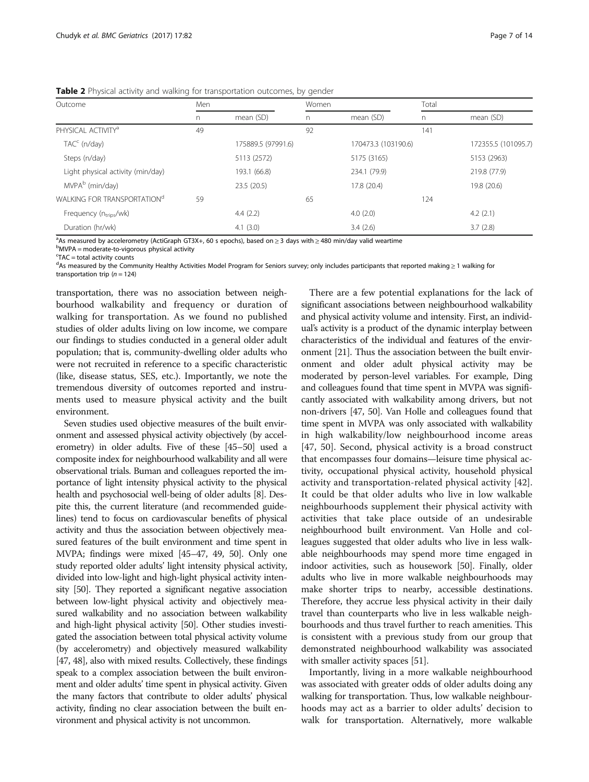<span id="page-6-0"></span>Table 2 Physical activity and walking for transportation outcomes, by gender

| Outcome                                 | Men |                    | Women |                     | Total |                     |
|-----------------------------------------|-----|--------------------|-------|---------------------|-------|---------------------|
|                                         | n   | mean (SD)          | n     | mean (SD)           | n     | mean (SD)           |
| PHYSICAL ACTIVITY <sup>a</sup>          | 49  |                    | 92    |                     | 141   |                     |
| $TACc$ (n/day)                          |     | 175889.5 (97991.6) |       | 170473.3 (103190.6) |       | 172355.5 (101095.7) |
| Steps (n/day)                           |     | 5113 (2572)        |       | 5175 (3165)         |       | 5153 (2963)         |
| Light physical activity (min/day)       |     | 193.1 (66.8)       |       | 234.1 (79.9)        |       | 219.8 (77.9)        |
| MVPA <sup>b</sup> (min/day)             |     | 23.5(20.5)         |       | 17.8 (20.4)         |       | 19.8 (20.6)         |
| WALKING FOR TRANSPORTATION <sup>d</sup> | 59  |                    | 65    |                     | 124   |                     |
| Frequency (ntrips/wk)                   |     | 4.4(2.2)           |       | 4.0(2.0)            |       | 4.2(2.1)            |
| Duration (hr/wk)                        |     | 4.1(3.0)           |       | 3.4(2.6)            |       | 3.7(2.8)            |

<sup>a</sup>As measured by accelerometry (ActiGraph GT3X+, 60 s epochs), based on ≥ 3 days with ≥ 480 min/day valid weartime<br><sup>b</sup>MVPA = moderate-to-vigorous physical activity

MVPA = moderate-to-vigorous physical activity

 $C = total$  activity counts

<sup>d</sup>As measured by the Community Healthy Activities Model Program for Seniors survey; only includes participants that reported making ≥ 1 walking for transportation trip  $(n = 124)$ 

transportation, there was no association between neighbourhood walkability and frequency or duration of walking for transportation. As we found no published studies of older adults living on low income, we compare our findings to studies conducted in a general older adult population; that is, community-dwelling older adults who were not recruited in reference to a specific characteristic (like, disease status, SES, etc.). Importantly, we note the tremendous diversity of outcomes reported and instruments used to measure physical activity and the built environment.

Seven studies used objective measures of the built environment and assessed physical activity objectively (by accelerometry) in older adults. Five of these [\[45](#page-12-0)–[50](#page-12-0)] used a composite index for neighbourhood walkability and all were observational trials. Buman and colleagues reported the importance of light intensity physical activity to the physical health and psychosocial well-being of older adults [\[8](#page-12-0)]. Despite this, the current literature (and recommended guidelines) tend to focus on cardiovascular benefits of physical activity and thus the association between objectively measured features of the built environment and time spent in MVPA; findings were mixed [\[45](#page-12-0)–[47](#page-12-0), [49, 50](#page-12-0)]. Only one study reported older adults' light intensity physical activity, divided into low-light and high-light physical activity intensity [\[50\]](#page-12-0). They reported a significant negative association between low-light physical activity and objectively measured walkability and no association between walkability and high-light physical activity [\[50](#page-12-0)]. Other studies investigated the association between total physical activity volume (by accelerometry) and objectively measured walkability [[47](#page-12-0), [48](#page-12-0)], also with mixed results. Collectively, these findings speak to a complex association between the built environment and older adults' time spent in physical activity. Given the many factors that contribute to older adults' physical activity, finding no clear association between the built environment and physical activity is not uncommon.

There are a few potential explanations for the lack of significant associations between neighbourhood walkability and physical activity volume and intensity. First, an individual's activity is a product of the dynamic interplay between characteristics of the individual and features of the environment [\[21\]](#page-12-0). Thus the association between the built environment and older adult physical activity may be moderated by person-level variables. For example, Ding and colleagues found that time spent in MVPA was significantly associated with walkability among drivers, but not non-drivers [\[47, 50\]](#page-12-0). Van Holle and colleagues found that time spent in MVPA was only associated with walkability in high walkability/low neighbourhood income areas [[47, 50](#page-12-0)]. Second, physical activity is a broad construct that encompasses four domains—leisure time physical activity, occupational physical activity, household physical activity and transportation-related physical activity [\[42](#page-12-0)]. It could be that older adults who live in low walkable neighbourhoods supplement their physical activity with activities that take place outside of an undesirable neighbourhood built environment. Van Holle and colleagues suggested that older adults who live in less walkable neighbourhoods may spend more time engaged in indoor activities, such as housework [\[50\]](#page-12-0). Finally, older adults who live in more walkable neighbourhoods may make shorter trips to nearby, accessible destinations. Therefore, they accrue less physical activity in their daily travel than counterparts who live in less walkable neighbourhoods and thus travel further to reach amenities. This is consistent with a previous study from our group that demonstrated neighbourhood walkability was associated with smaller activity spaces [[51](#page-12-0)].

Importantly, living in a more walkable neighbourhood was associated with greater odds of older adults doing any walking for transportation. Thus, low walkable neighbourhoods may act as a barrier to older adults' decision to walk for transportation. Alternatively, more walkable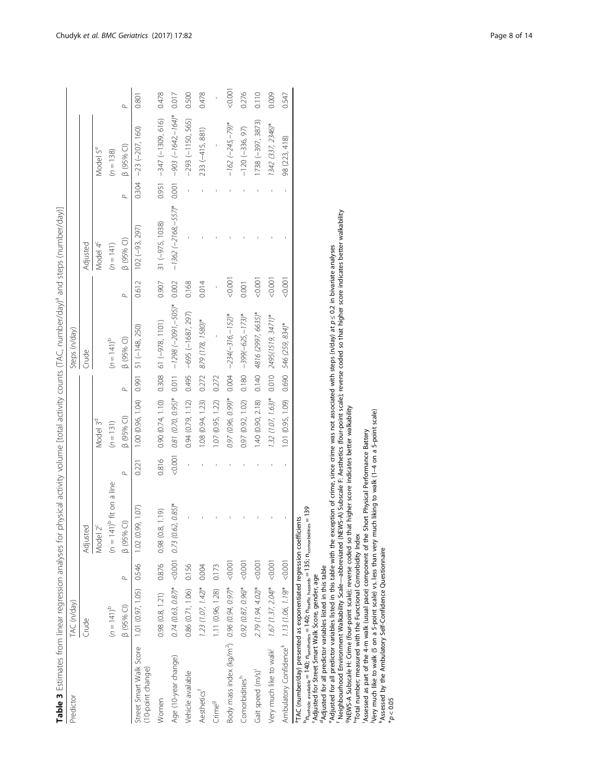| ׇ֚֚֚֡<br>Ĩ<br>j                      |  |
|--------------------------------------|--|
| ٦<br>١                               |  |
|                                      |  |
| I                                    |  |
| i                                    |  |
| ١                                    |  |
|                                      |  |
| Ó                                    |  |
|                                      |  |
|                                      |  |
| ī<br>)<br>ļ                          |  |
| I<br>j                               |  |
| l                                    |  |
| ï                                    |  |
| ï<br>i                               |  |
| Ì                                    |  |
| ċ                                    |  |
| i                                    |  |
| ļ                                    |  |
| I<br>١                               |  |
| ä<br>$\ddot{\phantom{a}}$            |  |
| ļ                                    |  |
| $\frac{1}{2}$                        |  |
| f<br>١                               |  |
| j                                    |  |
| l<br>j                               |  |
| J                                    |  |
|                                      |  |
| ۯ<br>i                               |  |
| i<br>I                               |  |
| j<br>Ó                               |  |
|                                      |  |
|                                      |  |
| $\overline{ }$<br>I<br>$\frac{1}{2}$ |  |
| ٢                                    |  |
|                                      |  |
| $\tilde{\phantom{a}}$                |  |
|                                      |  |
|                                      |  |
| t                                    |  |
| $\mathfrak{g}$                       |  |
| i                                    |  |
| l                                    |  |
| i                                    |  |
| ļ                                    |  |
| ï<br>l                               |  |
| l                                    |  |
| )<br>)<br>I                          |  |
|                                      |  |
| i<br>ī<br>J                          |  |
| $\mathfrak{c}$<br>١                  |  |
| ١                                    |  |
| I<br>j<br>ī                          |  |
| ł<br>١<br>i                          |  |
| J<br>ì<br>Ï                          |  |
| i<br>$\overline{)}$<br>Ì<br>Ş<br>J   |  |
| ï                                    |  |
| $\bar{v}$<br>ū<br>I                  |  |
| !<br>늘                               |  |
|                                      |  |
| Ş                                    |  |
| l<br>١                               |  |
|                                      |  |
|                                      |  |
|                                      |  |
|                                      |  |
| ĺ<br>l                               |  |
|                                      |  |
|                                      |  |
| ē                                    |  |
|                                      |  |
| I                                    |  |

<span id="page-7-0"></span>

| Predictor                                                                                                                                                                                                                 | TAC (n/day)                    |                |                                                            |                |                                          |          | Steps (n/day)                                                                              |                |                      |                |                                                        |                |
|---------------------------------------------------------------------------------------------------------------------------------------------------------------------------------------------------------------------------|--------------------------------|----------------|------------------------------------------------------------|----------------|------------------------------------------|----------|--------------------------------------------------------------------------------------------|----------------|----------------------|----------------|--------------------------------------------------------|----------------|
|                                                                                                                                                                                                                           | Crude                          |                | Adjusted                                                   |                |                                          |          | Crude                                                                                      |                | Adjusted             |                |                                                        |                |
|                                                                                                                                                                                                                           |                                |                | Model 2 <sup>c</sup>                                       |                | Model 3 <sup>d</sup>                     |          |                                                                                            |                | Model 4 <sup>c</sup> |                | Model 5 <sup>e</sup>                                   |                |
|                                                                                                                                                                                                                           | $(n = 141)^{b}$                |                | $(n = 141)^b$ fit on a line                                |                | $(n = 131)$                              |          | $(1 + 1)$ <sup>d</sup>                                                                     |                | $(n = 141)$          |                | $(n = 138)$                                            |                |
|                                                                                                                                                                                                                           | B (95% CI)                     | $\overline{a}$ | $(95%$ C                                                   | $\overline{a}$ | $(95%$ Cl                                | $\Delta$ | $(95%$ C                                                                                   | $\overline{a}$ | $(95%$ C)            | $\overline{a}$ | $\beta$ (95% CI)                                       | $\overline{a}$ |
| Street Smart Walk Score 1.01 (0.97, 1.05) 0.546 1.02 (0.99, 1.07)<br>(10-point change)                                                                                                                                    |                                |                |                                                            | 0.221          | $1.00(0.96, 1.04)$ 0.991 51 (-148, 250)  |          |                                                                                            | 0.612          | $102 (-93, 297)$     |                | $0.304 -23(-207, 160)$                                 | 0.801          |
| Women                                                                                                                                                                                                                     |                                |                | $0.98(0.8, 1.21)$ $0.876$ $0.98(0.8, 1.19)$                |                |                                          |          | $0.816$ $0.90$ $(0.74, 1.10)$ $0.308$ $61$ $(-978, 1101)$                                  | 0.907          | 31 (-975, 1038)      |                | $0.951 -347 (-1309, 616)$                              | 0.478          |
| Age (10-year change)                                                                                                                                                                                                      |                                |                | $0.74(0.63, 0.87)$ * <0.001 0.73 (0.62, 0.85) <sup>*</sup> |                |                                          |          | $(0.001 \quad 0.81 \ (0.70, 0.95)^* \quad 0.011 \quad -1298 \ (-2091, -505)^* \quad 0.002$ |                |                      |                | $-1362 (-2168, -557)* 0.001 -903 (-1642, -164)* 0.017$ |                |
| Vehicle available                                                                                                                                                                                                         | 0.86 (0.71, 1.06) 0.156        |                |                                                            |                |                                          |          | $0.94$ $(0.79, 1.12)$ $0.495$ $-695$ $(-1687, 297)$                                        | 0.168          |                      |                | $-293 (-1150, 565)$                                    | 0.500          |
| Aesthetics                                                                                                                                                                                                                | $1.23$ (1.07, $1.42$ )*        | 0.004          |                                                            |                | 1.08 (0.94, 1.23)                        | 0.272    | 879 (178, 1580)*                                                                           | 0.014          |                      |                | 233 (-415, 881)                                        | 0.478          |
| Crime <sup>9</sup>                                                                                                                                                                                                        | 1.11 (0.96, 1.28)              | 0.173          |                                                            |                | 1.07(0.95, 1.22)                         | 0.272    |                                                                                            |                |                      |                |                                                        |                |
| Body mass index (kg/m <sup>2</sup> ) 0.96 (0.94, 0.97)* <0.001                                                                                                                                                            |                                |                |                                                            |                | 0.97 (0.96, 0.99)*                       |          | $0.004 -234(-316-152)^{*}$                                                                 | 10000          |                      |                | $-162 (-245 - 79)^*$                                   | 10000          |
| Comorbidities <sup>h</sup>                                                                                                                                                                                                | $0.92(0.87, 0.96)^* < 0.001$   |                |                                                            |                | 0.97 (0.92, 1.02)                        |          | $0.180 - 399(-625 - 173)^*$                                                                | 0.001          |                      |                | $-120(-336, 97)$                                       | 0.276          |
| Gait speed (m/s)                                                                                                                                                                                                          | $2.79(1.94, 4.02)^{*} < 0.001$ |                |                                                            |                | 1.40 (0.90, 2.18)                        |          | $0.140$ 4816 (2997, 6635)*                                                                 | 10000          |                      |                | 1738 (-397, 3873)                                      | 0.110          |
| Very much like to walk 1.67 (1.37, 2.04)* <0.001                                                                                                                                                                          |                                |                |                                                            |                |                                          |          | $1.32$ (1.07, 1.63)* 0.010 2495(1519, 3471)*                                               | 10000          |                      |                | 1342 (337, 2346)*                                      | 0.009          |
| Ambulatory Confidence 1.13 (1.06, 1.19)* <0.001                                                                                                                                                                           |                                |                |                                                            |                | $1.01(0.95, 1.09)$ 0.690 546 (259, 834)* |          |                                                                                            | 1000           |                      |                | 98 (223, 418)                                          | 0.547          |
| $P_{\rm{O}$ vehicle avaliable = 140; $P_{\rm{aesthetics}} = 140$ ; $P_{\rm{traffic\;hazards}} = 135$ ; $P_{\rm{conorbidities}} = 139$<br><sup>a</sup> TAC (number/day) presented as exponentiated regression coefficients |                                |                |                                                            |                |                                          |          |                                                                                            |                |                      |                |                                                        |                |

cAdjusted for Street Smart Walk Score, gender, age

<sup>d</sup>Adjusted for all predictor variables listed in this table

eAdjusted for all predictor variables listed in this table with the exception of crime, since crime was not associated with steps (n/day) at p ≤ 0.2 in bivariate analyses

f Neighb<br>%HEWS-A<br>hTotal nu<br>htm mu<br>Mery mu<br>khasses<br>khasses Neighbourhood Environment Walkability Scale—abbreviated (NEWS-A) Subscale F: Aesthetics (four-point scale); reverse coded so that higher score indicates better walkability

gNEWS-A Subscale H: Crime (four-point scale); reverse coded so that higher score indicates better walkability hTotal number; measured with the Functional Comorbidity Index

iAssessed as part of the 4-m walk (usual pace) component of the Short Physical Performance Battery

jVery much like to walk (5 on a 5-point scale) vs. less than very much liking to walk (1–4 on a 5-point scale)

kAssessed by the Ambulatory Self-Confidence Questionnaire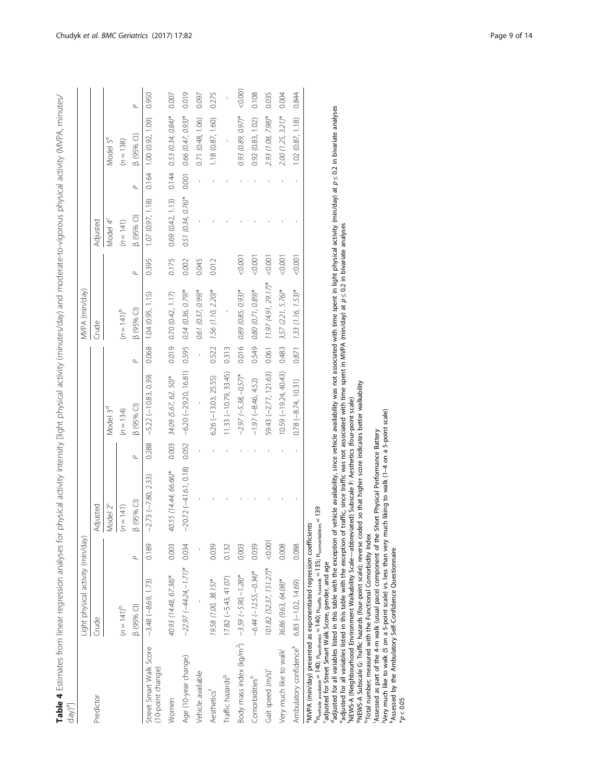<span id="page-8-0"></span>

| י<br>ג<br>itac<br>;                                                                         |        |
|---------------------------------------------------------------------------------------------|--------|
| ١                                                                                           |        |
| mus<br>K                                                                                    |        |
| ć                                                                                           |        |
|                                                                                             |        |
|                                                                                             |        |
| .<br>-<br>-<br>-<br>-<br>-<br>-<br>j<br>J                                                   |        |
| j                                                                                           |        |
| ה יה ה                                                                                      |        |
| J                                                                                           |        |
| ֦֦֧֧֦֧ׅ֦֧ׅ֦֧֧֦֧ׅ֧֧ׅ֧֧֧֦֧֧֧ׅ֧֧ׅ֧֚֚֚֚֚֚֚֚֚֚֚֡֘֝֕֝֓֕֓֡֓֓֕֓֕֓֕֓֡֝֬֝֓֬֝֓֜֓֜֓֝֓֜֓֝֬֜֓֝֬֝֓֝֬֝֬֜֝֬֝ |        |
| ١<br>١                                                                                      |        |
| ייאני (שטוב באות הבלקבים בתקום המבור המוכני האי<br>$\frac{5}{2}$                            |        |
| ) > ) > ) > ) > ) >                                                                         |        |
|                                                                                             |        |
|                                                                                             |        |
|                                                                                             |        |
| ١<br>J                                                                                      |        |
|                                                                                             |        |
| 5                                                                                           |        |
| j<br>j                                                                                      |        |
|                                                                                             |        |
|                                                                                             |        |
| $\ddot{\phantom{0}}$                                                                        |        |
| j<br>j                                                                                      |        |
| ニー・ペーパー ついこく<br>j                                                                           |        |
| j                                                                                           |        |
| S                                                                                           |        |
| $-1$<br>)<br>=<br>=<br>$\mathbf{r}$                                                         |        |
| ,                                                                                           |        |
| Ì                                                                                           |        |
| $\frac{1}{2}$                                                                               |        |
| ĺ                                                                                           |        |
|                                                                                             |        |
| physical acti                                                                               |        |
|                                                                                             |        |
|                                                                                             |        |
| $\overline{ }$                                                                              |        |
| j<br>I<br>1<br>١                                                                            |        |
| !<br>d<br>į<br>j                                                                            |        |
| ļ<br>֓                                                                                      |        |
| J                                                                                           |        |
| こくらく<br>i<br>j                                                                              |        |
| Ï<br>j<br>i<br>j<br>ì                                                                       |        |
| i<br>١<br>ł<br>i<br>J<br>١                                                                  |        |
| ç                                                                                           |        |
| i                                                                                           |        |
| י<br>י<br>١                                                                                 |        |
| I<br>j<br>l<br>i<br>ī                                                                       |        |
| ì<br>i                                                                                      |        |
|                                                                                             |        |
|                                                                                             | ģ<br>Ï |
|                                                                                             | ì<br>5 |
|                                                                                             | ׇ֚֘֝֡  |

| day) T                                                                                                                                                                                                                                                                                                                                                                                                                                                                                                                                                                                                                                                                                                                                                                                                                                                                                                                                                                                                                                                                                                                                                                                                                   |                                   |          |                                             |          |                                                   |                          |                               |          |                      |          |                      |          |
|--------------------------------------------------------------------------------------------------------------------------------------------------------------------------------------------------------------------------------------------------------------------------------------------------------------------------------------------------------------------------------------------------------------------------------------------------------------------------------------------------------------------------------------------------------------------------------------------------------------------------------------------------------------------------------------------------------------------------------------------------------------------------------------------------------------------------------------------------------------------------------------------------------------------------------------------------------------------------------------------------------------------------------------------------------------------------------------------------------------------------------------------------------------------------------------------------------------------------|-----------------------------------|----------|---------------------------------------------|----------|---------------------------------------------------|--------------------------|-------------------------------|----------|----------------------|----------|----------------------|----------|
|                                                                                                                                                                                                                                                                                                                                                                                                                                                                                                                                                                                                                                                                                                                                                                                                                                                                                                                                                                                                                                                                                                                                                                                                                          | Light physical activity (min/day) |          |                                             |          |                                                   |                          | WVPA (min/day)                |          |                      |          |                      |          |
| Predictor                                                                                                                                                                                                                                                                                                                                                                                                                                                                                                                                                                                                                                                                                                                                                                                                                                                                                                                                                                                                                                                                                                                                                                                                                | Crude                             |          | justed<br>इ।                                |          |                                                   |                          | Crude                         |          | Adjusted             |          |                      |          |
|                                                                                                                                                                                                                                                                                                                                                                                                                                                                                                                                                                                                                                                                                                                                                                                                                                                                                                                                                                                                                                                                                                                                                                                                                          |                                   |          | Model 2 <sup>c</sup>                        |          | Model 3 <sup>d</sup>                              |                          |                               |          | Model 4 <sup>c</sup> |          | Model 5 <sup>e</sup> |          |
|                                                                                                                                                                                                                                                                                                                                                                                                                                                                                                                                                                                                                                                                                                                                                                                                                                                                                                                                                                                                                                                                                                                                                                                                                          | $(n = 141)^{b}$                   |          | $(n = 141)$<br>$\overline{\phantom{a}}$     |          | $(n = 134)$                                       |                          | $(1 + 14)$ <sup>b</sup>       |          | $(n = 141)$          |          | $(n = 138)$          |          |
|                                                                                                                                                                                                                                                                                                                                                                                                                                                                                                                                                                                                                                                                                                                                                                                                                                                                                                                                                                                                                                                                                                                                                                                                                          | $\beta$ (95% CI)                  | $\alpha$ | (95%                                        | $\alpha$ | $(95%$ CI                                         | $\Delta$                 | $(95%$ CI                     | $\alpha$ | $(95%$ C             | $\alpha$ | $(95%$ CI)           | $\alpha$ |
| Street Smart Walk Score<br>(10-point change)                                                                                                                                                                                                                                                                                                                                                                                                                                                                                                                                                                                                                                                                                                                                                                                                                                                                                                                                                                                                                                                                                                                                                                             | $-3.48$ $(-8.69, 1.73)$           | 0.189    | $-2.73(-7.80, 2.33)$                        | 0.288    | $-5.22$ $(-10.83, 0.39)$                          |                          | $0.068$ $1.04(0.95, 1.15)$    | 0.395    | 1.07(0.97, 1.18)     | 0.164    | 1.00 (0.92, 1.09)    | 0.950    |
| Women                                                                                                                                                                                                                                                                                                                                                                                                                                                                                                                                                                                                                                                                                                                                                                                                                                                                                                                                                                                                                                                                                                                                                                                                                    | 40.93 (14.48, 67.38)*             | 0.003    | 40.55 (14.44, 66.66)*                       | 0.003    | 34.09 (5.67, 62.50)*                              |                          | $0.019$ $0.70$ $(0.42, 1.17)$ | 0.175    | 0.69(0.42, 1.13)     | 0.144    | $0.53(0.34, 0.84)$ * | 0.007    |
| Age (10-year change)                                                                                                                                                                                                                                                                                                                                                                                                                                                                                                                                                                                                                                                                                                                                                                                                                                                                                                                                                                                                                                                                                                                                                                                                     | $-22.97$ $(-44.24 - 1.71)$ *      | 0.034    | $-20.72(-41.61, 0.18)$                      | 0.052    | $-6.20$ $(-29.20, 16.81)$                         | 0.595                    | 0.54 (0.36, 0.79)*            | 0.002    | 0.51 (0.34, 0.76)*   | 0.001    | 0.66 (0.47, 0.93)*   | 0.019    |
| Vehicle available                                                                                                                                                                                                                                                                                                                                                                                                                                                                                                                                                                                                                                                                                                                                                                                                                                                                                                                                                                                                                                                                                                                                                                                                        |                                   |          |                                             |          |                                                   | $\overline{\phantom{a}}$ | 0.61 (0.37, 0.99)*            | 0.045    |                      |          | 0.71 (0.48, 1.06)    | 0.097    |
| Aesthetics <sup>f</sup>                                                                                                                                                                                                                                                                                                                                                                                                                                                                                                                                                                                                                                                                                                                                                                                                                                                                                                                                                                                                                                                                                                                                                                                                  | 19.58 (1.00, 38.15)*              | 0.039    |                                             |          | $6.26$ ( $-13.03$ , $25.55$ )                     | 0.522                    | 1.56 (1.10, 2.20)*            | 0.012    |                      |          | 1.18 (0.87, 1.60)    | 0.275    |
| Traffic hazards <sup>9</sup>                                                                                                                                                                                                                                                                                                                                                                                                                                                                                                                                                                                                                                                                                                                                                                                                                                                                                                                                                                                                                                                                                                                                                                                             | $17.82 (-5.43, 41.07)$            | 0.132    |                                             |          | $11.33 (-10.79, 33.45)$                           | 0.313                    |                               |          |                      |          |                      |          |
| Body mass index (kg/m <sup>2</sup> ) $-3.59 (-5.90 - 1.28)^*$                                                                                                                                                                                                                                                                                                                                                                                                                                                                                                                                                                                                                                                                                                                                                                                                                                                                                                                                                                                                                                                                                                                                                            |                                   | 0.003    |                                             |          | $-2.97 (-5.38, -0.57)$ *                          | 0.016                    | 0.89 (0.85, 0.93)*            | 0.001    |                      |          | 0.93 (0.89, 0.97)*   | 1000     |
| Comorbidities <sup>h</sup>                                                                                                                                                                                                                                                                                                                                                                                                                                                                                                                                                                                                                                                                                                                                                                                                                                                                                                                                                                                                                                                                                                                                                                                               | $-6.44$ $(-12.55, -0.34)$ *       | 0.039    |                                             |          | $-1.97 (-8.46, 4.52)$                             | 0.549                    | 0.80 (0.71, 0.89)*            | 0.001    |                      |          | 0.92 (0.83, 1.02)    | 0.108    |
| Gait speed (m/s)                                                                                                                                                                                                                                                                                                                                                                                                                                                                                                                                                                                                                                                                                                                                                                                                                                                                                                                                                                                                                                                                                                                                                                                                         | 101.82 (52.37, 151.27)*           | < 0.001  |                                             |          | 59.43 (-2.77, 121.63)                             | 0.061                    | $11.97(4.91, 29.17)$ *        | 0.001    |                      |          | 2.93 (1.08, 7.98)*   | 0.035    |
| Very much like to walk                                                                                                                                                                                                                                                                                                                                                                                                                                                                                                                                                                                                                                                                                                                                                                                                                                                                                                                                                                                                                                                                                                                                                                                                   | 36.86 (9.63, 64.08)*              | 0.008    |                                             |          | $10.59(-19.24, 40.43)$                            | 0.483                    | 3.57 (2.21, 5.76)*            | 0.001    |                      |          | $2.00(1.25, 3.21)$ * | 0.004    |
| Ambulatory confidence <sup>k</sup>                                                                                                                                                                                                                                                                                                                                                                                                                                                                                                                                                                                                                                                                                                                                                                                                                                                                                                                                                                                                                                                                                                                                                                                       | $6.83(-1.02, 14.69)$              | 0.088    |                                             |          | $0.78(-8.74, 10.31)$                              | 0.871                    | 1.33 (1.16, 1.53)*            | 0.001    |                      |          | 1.02 (0.87, 1.18)    | 0.844    |
| digusted for all variables listed in this table with the exception of vehicle availability, since vehicle availability, was not associated with time spent in light physical activity (min/day) at p ≤ 0.2 in bivariate analys<br>adjusted for all variables listed in this table with the exception of traffic, since traffic was not associated with time spent in MVPA (min/day) at p ≤0.2 in bivariate analyses<br>NEWS-A (Neighbourhood Environment Walkability Scale—abbreviated) Subscale F: Aesthetics (four-point scale)<br>Very much like to walk (5 on a 5-point scale) vs. less than very much liking to walk (1–4 on a 5-point scale)<br>PNEWS-A Subscale G: Traffic hazards (four-point scale); reverse coded<br>MVPA (min/day) presented as exponentiated regression coefficients<br>$n_{\text{Vehicle available}} = 140$ ; $n_{\text{desthetics}} = 140$ ; $n_{\text{taffic} \text{ hazards}} = 135$ ; $n_{\text{comotbidities}}$<br>Assessed as part of the 4-m walk (usual pace) component of the Sh<br>Total number; measured with the Functional Comorbidity Index<br>Assessed by the Ambulatory Self-Confidence Questionnaire<br>adjusted for Street Smart Walk Score, gender, and age<br>50.0 > d, |                                   |          | ort Physical Performance Battery<br>$= 139$ |          | so that higher score indicates better walkability |                          |                               |          |                      |          |                      |          |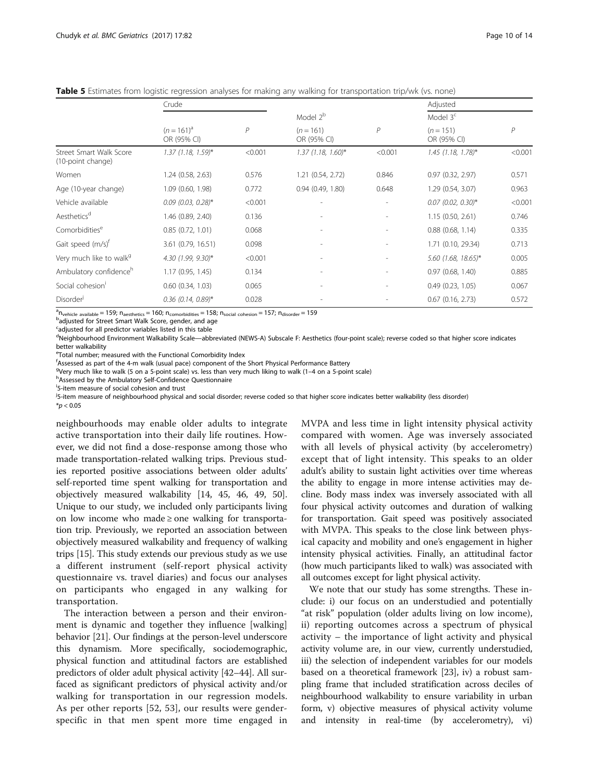|                                              | Crude                          |                |                            |                | Adjusted                   |                |
|----------------------------------------------|--------------------------------|----------------|----------------------------|----------------|----------------------------|----------------|
|                                              |                                |                | Model 2 <sup>b</sup>       |                | Model $3c$                 |                |
|                                              | $(n = 161)^{d}$<br>OR (95% CI) | $\overline{P}$ | $(n = 161)$<br>OR (95% CI) | $\overline{P}$ | $(n = 151)$<br>OR (95% CI) | $\overline{P}$ |
| Street Smart Walk Score<br>(10-point change) | $1.37(1.18, 1.59)^{*}$         | < 0.001        | $1.37(1.18, 1.60)$ *       | < 0.001        | $1.45$ (1.18, 1.78)*       | < 0.001        |
| Women                                        | 1.24 (0.58, 2.63)              | 0.576          | 1.21 (0.54, 2.72)          | 0.846          | 0.97(0.32, 2.97)           | 0.571          |
| Age (10-year change)                         | 1.09 (0.60, 1.98)              | 0.772          | 0.94(0.49, 1.80)           | 0.648          | 1.29 (0.54, 3.07)          | 0.963          |
| Vehicle available                            | $0.09$ (0.03, 0.28)*           | < 0.001        |                            |                | $0.07$ (0.02, 0.30)*       | < 0.001        |
| Aesthetics <sup>d</sup>                      | 1.46 (0.89, 2.40)              | 0.136          |                            |                | 1.15(0.50, 2.61)           | 0.746          |
| Comorbidities <sup>e</sup>                   | 0.85(0.72, 1.01)               | 0.068          |                            |                | $0.88$ $(0.68, 1.14)$      | 0.335          |
| Gait speed (m/s) <sup>†</sup>                | 3.61 (0.79, 16.51)             | 0.098          |                            |                | 1.71 (0.10, 29.34)         | 0.713          |
| Very much like to walk <sup>g</sup>          | 4.30 (1.99, 9.30)*             | < 0.001        |                            |                | 5.60 (1.68, 18.65)*        | 0.005          |
| Ambulatory confidence <sup>h</sup>           | 1.17 (0.95, 1.45)              | 0.134          |                            |                | 0.97(0.68, 1.40)           | 0.885          |
| Social cohesion'                             | $0.60$ $(0.34, 1.03)$          | 0.065          |                            |                | 0.49(0.23, 1.05)           | 0.067          |
| Disorder <sup>,</sup>                        | $0.36$ (0.14, 0.89)*           | 0.028          |                            |                | $0.67$ $(0.16, 2.73)$      | 0.572          |

<span id="page-9-0"></span>Table 5 Estimates from logistic regression analyses for making any walking for transportation trip/wk (vs. none)

a<br><sup>a</sup>Nvehicle available = 159; n<sub>aesthetics</sub> = 160; n<sub>comorbidities</sub> = 158; n<sub>social cohesion</sub> = 157; n<sub>disorder</sub> = 159<br><sup>b</sup>adiusted for Street Smart Walk Score, gender, and age

badjusted for Street Smart Walk Score, gender, and age

<sup>c</sup>adjusted for all predictor variables listed in this table

<sup>d</sup>Neighbourhood Environment Walkability Scale—abbreviated (NEWS-A) Subscale F: Aesthetics (four-point scale); reverse coded so that higher score indicates better walkability

e Total number; measured with the Functional Comorbidity Index

<sup>f</sup>Assessed as part of the 4-m walk (usual pace) component of the Short Physical Performance Battery

<sup>g</sup>Very much like to walk (5 on a 5-point scale) vs. less than very much liking to walk (1–4 on a 5-point scale) https://www.cale.org/html

<sup>h</sup>Assessed by the Ambulatory Self-Confidence Questionnaire

<sup>i</sup>5-item measure of social cohesion and trust

<sub>.</sub><br>5-item measure of neighbourhood physical and social disorder; reverse coded so that higher score indicates better walkability (less disorder)  $*$ *p* < 0.05

neighbourhoods may enable older adults to integrate active transportation into their daily life routines. However, we did not find a dose-response among those who made transportation-related walking trips. Previous studies reported positive associations between older adults' self-reported time spent walking for transportation and objectively measured walkability [[14](#page-12-0), [45, 46, 49](#page-12-0), [50](#page-12-0)]. Unique to our study, we included only participants living on low income who made ≥ one walking for transportation trip. Previously, we reported an association between objectively measured walkability and frequency of walking trips [\[15](#page-12-0)]. This study extends our previous study as we use a different instrument (self-report physical activity questionnaire vs. travel diaries) and focus our analyses on participants who engaged in any walking for transportation.

The interaction between a person and their environment is dynamic and together they influence [walking] behavior [[21\]](#page-12-0). Our findings at the person-level underscore this dynamism. More specifically, sociodemographic, physical function and attitudinal factors are established predictors of older adult physical activity [[42](#page-12-0)–[44\]](#page-12-0). All surfaced as significant predictors of physical activity and/or walking for transportation in our regression models. As per other reports [[52](#page-12-0), [53\]](#page-13-0), our results were genderspecific in that men spent more time engaged in MVPA and less time in light intensity physical activity compared with women. Age was inversely associated with all levels of physical activity (by accelerometry) except that of light intensity. This speaks to an older adult's ability to sustain light activities over time whereas the ability to engage in more intense activities may decline. Body mass index was inversely associated with all four physical activity outcomes and duration of walking for transportation. Gait speed was positively associated with MVPA. This speaks to the close link between physical capacity and mobility and one's engagement in higher intensity physical activities. Finally, an attitudinal factor (how much participants liked to walk) was associated with all outcomes except for light physical activity.

We note that our study has some strengths. These include: i) our focus on an understudied and potentially "at risk" population (older adults living on low income), ii) reporting outcomes across a spectrum of physical activity – the importance of light activity and physical activity volume are, in our view, currently understudied, iii) the selection of independent variables for our models based on a theoretical framework [\[23\]](#page-12-0), iv) a robust sampling frame that included stratification across deciles of neighbourhood walkability to ensure variability in urban form, v) objective measures of physical activity volume and intensity in real-time (by accelerometry), vi)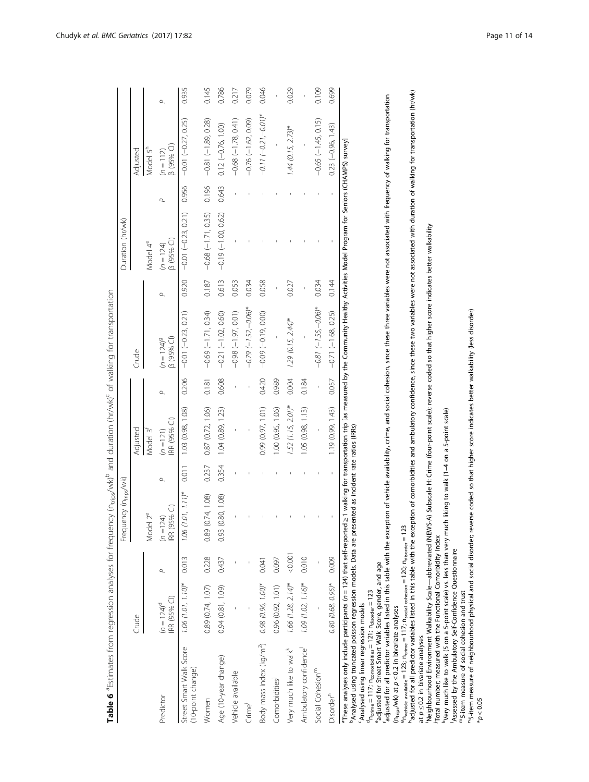<span id="page-10-0"></span>

|                                                                                                                                                                                                                                                                                                                                                                                                                                                                                                                                                                                                                                                                                                                                                                              |                               |          | Frequency (n <sub>trips</sub> /wk) |          |                             |       |                                   |          | Duration (hr/wk)             |                |                              |          |
|------------------------------------------------------------------------------------------------------------------------------------------------------------------------------------------------------------------------------------------------------------------------------------------------------------------------------------------------------------------------------------------------------------------------------------------------------------------------------------------------------------------------------------------------------------------------------------------------------------------------------------------------------------------------------------------------------------------------------------------------------------------------------|-------------------------------|----------|------------------------------------|----------|-----------------------------|-------|-----------------------------------|----------|------------------------------|----------------|------------------------------|----------|
|                                                                                                                                                                                                                                                                                                                                                                                                                                                                                                                                                                                                                                                                                                                                                                              | Crude                         |          |                                    |          | Adjusted                    |       | Crude                             |          |                              |                | Adjusted                     |          |
|                                                                                                                                                                                                                                                                                                                                                                                                                                                                                                                                                                                                                                                                                                                                                                              |                               |          | Model 2 <sup>e</sup>               |          | Model 3 <sup>f</sup>        |       |                                   |          | Model 4 <sup>e</sup>         |                | Model 5 <sup>n</sup>         |          |
| Predictor                                                                                                                                                                                                                                                                                                                                                                                                                                                                                                                                                                                                                                                                                                                                                                    | IRR (95% CI)<br>$(n = 124)^d$ | $\sigma$ | $(95%$ Cl)<br>$(n = 124)$<br>IRR   | $\sigma$ | IRR (95% CI)<br>$(n = 121)$ | C)    | $\beta$ (95% CI)<br>$(n = 124)^9$ | $\sigma$ | $(5, 95\%$ Cl<br>$(n = 124)$ | $\overline{a}$ | $(5, 95\%$ Cl<br>$(n = 112)$ | $\sigma$ |
| Street Smart Walk Score<br>(10-point change)                                                                                                                                                                                                                                                                                                                                                                                                                                                                                                                                                                                                                                                                                                                                 | $1.06$ $(1.01, 1.10)^{*}$     | 0.013    | $1.06$ $(1.01, 1.11)^*$            | 0.011    | 1.03 (0.98, 1.08)           | 0.206 | $-0.01 (-0.23, 0.21)$             | 0.920    | $-0.01 (-0.23, 0.21)$        | 0.956          | $-0.01 (-0.27, 0.25)$        | 0.935    |
| Women                                                                                                                                                                                                                                                                                                                                                                                                                                                                                                                                                                                                                                                                                                                                                                        | 0.89(0.74, 1.07)              | 0.228    | (0.74, 1.08)<br>0.89               | 0.237    | 0.87(0.72, 1.06)            | 0.181 | $-0.69(-1.71, 0.34)$              | 0.187    | $-0.68$ $(-1.71, 0.35)$      | 0.196          | $-0.81(-1.89, 0.28)$         | 0.145    |
| Age (10-year change)                                                                                                                                                                                                                                                                                                                                                                                                                                                                                                                                                                                                                                                                                                                                                         | 0.94 (0.81, 1.09)             | 0.437    | (0.80, 1.08)<br>0.93               | 0.354    | 1.04 (0.89, 1.23)           | 0.608 | $-0.21(-1.02, 0.60)$              | 0.613    | $-0.19(-1.00, 0.62)$         | 0.643          | $0.12 (-0.76, 1.00)$         | 0.786    |
| Vehicle available                                                                                                                                                                                                                                                                                                                                                                                                                                                                                                                                                                                                                                                                                                                                                            |                               |          |                                    |          |                             |       | $-0.98(-1.97, 0.01)$              | 0.053    |                              |                | $-0.68$ $(-1.78, 0.41)$      | 0.217    |
| Crime                                                                                                                                                                                                                                                                                                                                                                                                                                                                                                                                                                                                                                                                                                                                                                        |                               |          |                                    |          |                             |       | $-0.79(-1.52,-0.06)$ *            | 0.034    |                              |                | $-0.76(-1.62, 0.09)$         | 0.079    |
| Body mass index (kg/m <sup>2</sup> )                                                                                                                                                                                                                                                                                                                                                                                                                                                                                                                                                                                                                                                                                                                                         | 0.98 (0.96, 1.00)*            | 0.041    |                                    |          | 0.99 (0.97, 1.01)           | 0.420 | $-0.09(-0.19, 0.00)$              | 0.058    |                              |                | $-0.11 (-0.21,-0.01)$ *      | 0.046    |
| Comorbidities                                                                                                                                                                                                                                                                                                                                                                                                                                                                                                                                                                                                                                                                                                                                                                | 0.96 (0.92, 1.01)             | 0.097    |                                    |          | 1.00 (0.95, 1.06)           | 0.989 |                                   |          |                              |                |                              |          |
| Very much like to walk <sup>k</sup>                                                                                                                                                                                                                                                                                                                                                                                                                                                                                                                                                                                                                                                                                                                                          | $1.66$ (1.28, 2.14)*          | $0.00 -$ |                                    |          | $1.52$ (1.15, 2.01)*        | 0.004 | $1.29$ (0.15, 2.44)*              | 0.027    |                              |                | $1.44$ (0.15, 2.73)*         | 0.029    |
| Ambulatory confidence                                                                                                                                                                                                                                                                                                                                                                                                                                                                                                                                                                                                                                                                                                                                                        | $1.09(1.02, 1.16)^{*}$        | 0.010    |                                    |          | 1.05 (0.98, 1.13)           | 0.184 |                                   |          |                              |                |                              |          |
| Social Cohesion <sup>m</sup>                                                                                                                                                                                                                                                                                                                                                                                                                                                                                                                                                                                                                                                                                                                                                 |                               |          |                                    |          |                             |       | $-0.81 (-1.55 - 0.06)^*$          | 0.034    |                              |                | $-0.65$ ( $-1.45$ , 0.15)    | 0.109    |
| Disorder <sup>n</sup>                                                                                                                                                                                                                                                                                                                                                                                                                                                                                                                                                                                                                                                                                                                                                        | 0.80 (0.68, 0.95)*            | 0.009    |                                    |          | 1.19 (0.99, 1.43)           | 0.057 | $-0.71(-1.68, 0.25)$              | 0.144    |                              |                | $0.23(-0.96, 1.43)$          | 0.699    |
| adjusted for all predictor variables listed in this table with the exception of vehicle availability, crime, and social cohesion, since these three variables were not associated with frequency of walking for transportation<br>These analyses only include participants (n = 124) that self-reported 2-1 walking for transportation trip [as measured by the Community Healthy Activities Model Program for Seniors (CHAMPS) survey]<br>PAnalysed using truncated poisson regression models. Data are presented as incident rate ratios (IRRs)<br>adjusted for Street Smart Walk Score, gender, and age<br>$^{\circ}$ n <sub>crime</sub> = 117; n <sub>comorbidities</sub> = 121; n <sub>disorder</sub> = 123<br>Analysed using linear regression models<br>$\frac{1}{2}$ |                               |          |                                    |          |                             |       |                                   |          |                              |                |                              |          |

/wk)<sup>b</sup> and duration (hr/wk)<sup>c</sup> of walking for transportation Table 6 <sup>a</sup>Estimates from regression analyses for frequency (n<sub>trips</sub>/wk)<sup>b</sup> and duration (hr/wk)<sup>c</sup> of walking for transportation Table 6<sup>a</sup> Estimates from regression analyses for frequency (n....

(n<sub>trips</sub>/wk) at  $p \le 0.2$  in bivariate analyses

 $(n_{\text{tris}}$ /wk) at  $p \le 0.2$  in bivariate analyses<br><sup>9</sup>h<sub>vehicle available = 117; n<sub>ocial conesion</sub> = 120; n<sub>disorder</sub> = 123<br><sup>9</sup>adjusted for all predictor variables listed in this table with the exception of comorbidities a</sub> <sup>9</sup>h whicle available = 177, n<sub>octal conesion</sub> = 120, n<sub>disorder</sub> = 123<br>"adjusted for all predictor variables listed in this table with the exception of comorbidities and ambulatory confidence, since these two variables w

at  $p \leq$  0.2 in bivariate analyses<br>'Neighbourhood Environment Walkability Scale—abbreviated (NEWS-A) Subscale H: Crime (four-point scale); reverse coded so that higher score indicates better walkability<br>'Total number; mea —abbreviated (NEWS-A) Subscale H: Crime (four-point scale); reverse coded so that higher score indicates better walkability at *p ≤* 0.2 in bivariate analyses<br>Neighbourhood Environment Walkability Scale

fotal number; measured with the Functional Comorbidity Index

kVery much like to walk (5 on a 5-point scale) vs. less than very much liking to walk (1–4 on a 5-point scale) lAssessed by the Ambulatory Self-Confidence Questionnaire

m5-item measure of social cohesion and trust

<sup>m</sup>s-item measure of social cohesion and trust<br>"S-item measure of neighbourhood physical and social disorder; reverse coded so that higher score indicates better walkability (less disorder) n5-item measure of neighbourhood physical and social disorder; reverse coded so that higher score indicates better walkability (less disorder)

\*p < 0.05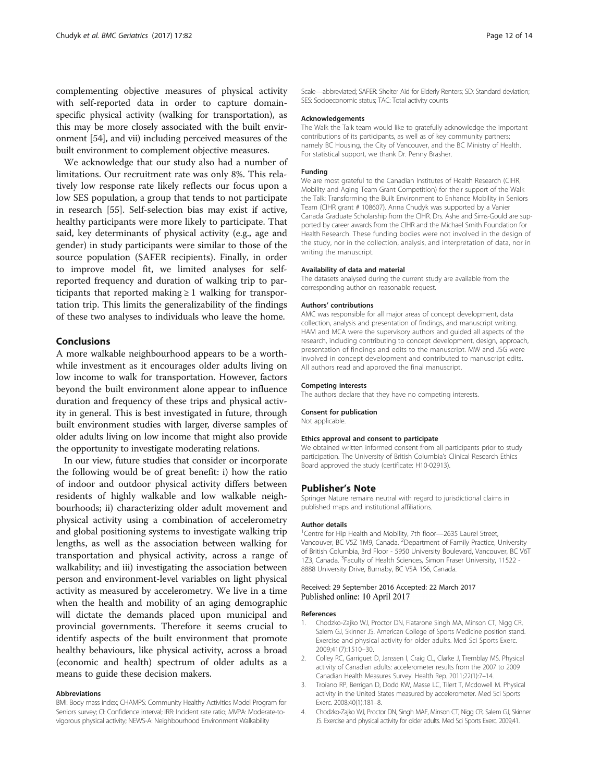<span id="page-11-0"></span>complementing objective measures of physical activity with self-reported data in order to capture domainspecific physical activity (walking for transportation), as this may be more closely associated with the built environment [\[54\]](#page-13-0), and vii) including perceived measures of the built environment to complement objective measures.

We acknowledge that our study also had a number of limitations. Our recruitment rate was only 8%. This relatively low response rate likely reflects our focus upon a low SES population, a group that tends to not participate in research [\[55\]](#page-13-0). Self-selection bias may exist if active, healthy participants were more likely to participate. That said, key determinants of physical activity (e.g., age and gender) in study participants were similar to those of the source population (SAFER recipients). Finally, in order to improve model fit, we limited analyses for selfreported frequency and duration of walking trip to participants that reported making  $\geq 1$  walking for transportation trip. This limits the generalizability of the findings of these two analyses to individuals who leave the home.

# Conclusions

A more walkable neighbourhood appears to be a worthwhile investment as it encourages older adults living on low income to walk for transportation. However, factors beyond the built environment alone appear to influence duration and frequency of these trips and physical activity in general. This is best investigated in future, through built environment studies with larger, diverse samples of older adults living on low income that might also provide the opportunity to investigate moderating relations.

In our view, future studies that consider or incorporate the following would be of great benefit: i) how the ratio of indoor and outdoor physical activity differs between residents of highly walkable and low walkable neighbourhoods; ii) characterizing older adult movement and physical activity using a combination of accelerometry and global positioning systems to investigate walking trip lengths, as well as the association between walking for transportation and physical activity, across a range of walkability; and iii) investigating the association between person and environment-level variables on light physical activity as measured by accelerometry. We live in a time when the health and mobility of an aging demographic will dictate the demands placed upon municipal and provincial governments. Therefore it seems crucial to identify aspects of the built environment that promote healthy behaviours, like physical activity, across a broad (economic and health) spectrum of older adults as a means to guide these decision makers.

#### Abbreviations

BMI: Body mass index; CHAMPS: Community Healthy Activities Model Program for Seniors survey; CI: Confidence interval; IRR: Incident rate ratio; MVPA: Moderate-tovigorous physical activity; NEWS-A: Neighbourhood Environment Walkability

Scale—abbreviated; SAFER: Shelter Aid for Elderly Renters; SD: Standard deviation; SES: Socioeconomic status; TAC: Total activity counts

#### Acknowledgements

The Walk the Talk team would like to gratefully acknowledge the important contributions of its participants, as well as of key community partners; namely BC Housing, the City of Vancouver, and the BC Ministry of Health. For statistical support, we thank Dr. Penny Brasher.

#### Funding

We are most grateful to the Canadian Institutes of Health Research (CIHR, Mobility and Aging Team Grant Competition) for their support of the Walk the Talk: Transforming the Built Environment to Enhance Mobility in Seniors Team (CIHR grant # 108607). Anna Chudyk was supported by a Vanier Canada Graduate Scholarship from the CIHR. Drs. Ashe and Sims-Gould are supported by career awards from the CIHR and the Michael Smith Foundation for Health Research. These funding bodies were not involved in the design of the study, nor in the collection, analysis, and interpretation of data, nor in writing the manuscript.

#### Availability of data and material

The datasets analysed during the current study are available from the corresponding author on reasonable request.

#### Authors' contributions

AMC was responsible for all major areas of concept development, data collection, analysis and presentation of findings, and manuscript writing. HAM and MCA were the supervisory authors and guided all aspects of the research, including contributing to concept development, design, approach, presentation of findings and edits to the manuscript. MW and JSG were involved in concept development and contributed to manuscript edits. All authors read and approved the final manuscript.

#### Competing interests

The authors declare that they have no competing interests.

#### Consent for publication

Not applicable.

### Ethics approval and consent to participate

We obtained written informed consent from all participants prior to study participation. The University of British Columbia's Clinical Research Ethics Board approved the study (certificate: H10-02913).

#### Publisher's Note

Springer Nature remains neutral with regard to jurisdictional claims in published maps and institutional affiliations.

### Author details

<sup>1</sup> Centre for Hip Health and Mobility, 7th floor-2635 Laurel Street, Vancouver, BC V5Z 1M9, Canada. <sup>2</sup> Department of Family Practice, University of British Columbia, 3rd Floor - 5950 University Boulevard, Vancouver, BC V6T 1Z3, Canada. <sup>3</sup> Faculty of Health Sciences, Simon Fraser University, 11522 -8888 University Drive, Burnaby, BC V5A 1S6, Canada.

### Received: 29 September 2016 Accepted: 22 March 2017 Published online: 10 April 2017

#### References

- 1. Chodzko-Zajko WJ, Proctor DN, Fiatarone Singh MA, Minson CT, Nigg CR, Salem GJ, Skinner JS. American College of Sports Medicine position stand. Exercise and physical activity for older adults. Med Sci Sports Exerc. 2009;41(7):1510–30.
- 2. Colley RC, Garriguet D, Janssen I, Craig CL, Clarke J, Tremblay MS. Physical activity of Canadian adults: accelerometer results from the 2007 to 2009 Canadian Health Measures Survey. Health Rep. 2011;22(1):7–14.
- 3. Troiano RP, Berrigan D, Dodd KW, Masse LC, Tilert T, Mcdowell M. Physical activity in the United States measured by accelerometer. Med Sci Sports Exerc. 2008;40(1):181–8.
- 4. Chodzko-Zajko WJ, Proctor DN, Singh MAF, Minson CT, Nigg CR, Salem GJ, Skinner JS. Exercise and physical activity for older adults. Med Sci Sports Exerc. 2009;41.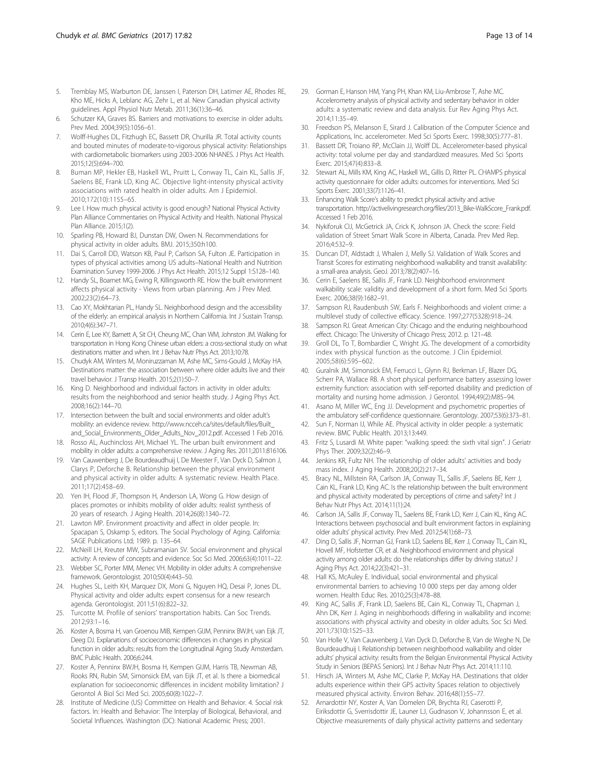- <span id="page-12-0"></span>5. Tremblay MS, Warburton DE, Janssen I, Paterson DH, Latimer AE, Rhodes RE, Kho ME, Hicks A, Leblanc AG, Zehr L, et al. New Canadian physical activity guidelines. Appl Physiol Nutr Metab. 2011;36(1):36–46.
- Schutzer KA, Graves BS. Barriers and motivations to exercise in older adults. Prev Med. 2004;39(5):1056–61.
- 7. Wolff-Hughes DL, Fitzhugh EC, Bassett DR, Churilla JR. Total activity counts and bouted minutes of moderate-to-vigorous physical activity: Relationships with cardiometabolic biomarkers using 2003-2006 NHANES. J Phys Act Health. 2015;12(5):694–700.
- 8. Buman MP, Hekler EB, Haskell WL, Pruitt L, Conway TL, Cain KL, Sallis JF, Saelens BE, Frank LD, King AC. Objective light-intensity physical activity associations with rated health in older adults. Am J Epidemiol. 2010;172(10):1155–65.
- 9. Lee I. How much physical activity is good enough? National Physical Activity Plan Alliance Commentaries on Physical Activity and Health. National Physical Plan Alliance. 2015;1(2).
- 10. Sparling PB, Howard BJ, Dunstan DW, Owen N. Recommendations for physical activity in older adults. BMJ. 2015;350:h100.
- 11. Dai S, Carroll DD, Watson KB, Paul P, Carlson SA, Fulton JE. Participation in types of physical activities among US adults–National Health and Nutrition Examination Survey 1999-2006. J Phys Act Health. 2015;12 Suppl 1:S128–140.
- 12. Handy SL, Boarnet MG, Ewing R, Killingsworth RE. How the built environment affects physical activity - Views from urban planning. Am J Prev Med. 2002;23(2):64–73.
- 13. Cao XY, Mokhtarian PL, Handy SL. Neighborhood design and the accessibility of the elderly: an empirical analysis in Northern California. Int J Sustain Transp. 2010;4(6):347–71.
- 14. Cerin E, Lee KY, Barnett A, Sit CH, Cheung MC, Chan WM, Johnston JM. Walking for transportation in Hong Kong Chinese urban elders: a cross-sectional study on what destinations matter and when. Int J Behav Nutr Phys Act. 2013;10:78.
- 15. Chudyk AM, Winters M, Moniruzzaman M, Ashe MC, Sims-Gould J, McKay HA. Destinations matter: the association between where older adults live and their travel behavior. J Transp Health. 2015;2(1):50–7.
- 16. King D. Neighborhood and individual factors in activity in older adults: results from the neighborhood and senior health study. J Aging Phys Act. 2008;16(2):144–70.
- 17. Intersection between the built and social environments and older adult's mobility: an evidence review. [http://www.ncceh.ca/sites/default/files/Built\\_](http://www.ncceh.ca/sites/default/files/Built_and_Social_Environments_Older_Adults_Nov_2012.pdf) [and\\_Social\\_Environments\\_Older\\_Adults\\_Nov\\_2012.pdf](http://www.ncceh.ca/sites/default/files/Built_and_Social_Environments_Older_Adults_Nov_2012.pdf). Accessed 1 Feb 2016.
- 18. Rosso AL, Auchincloss AH, Michael YL. The urban built environment and mobility in older adults: a comprehensive review. J Aging Res. 2011;2011:816106.
- 19. Van Cauwenberg J, De Bourdeaudhuij I, De Meester F, Van Dyck D, Salmon J, Clarys P, Deforche B. Relationship between the physical environment and physical activity in older adults: A systematic review. Health Place. 2011;17(2):458–69.
- 20. Yen IH, Flood JF, Thompson H, Anderson LA, Wong G. How design of places promotes or inhibits mobility of older adults: realist synthesis of 20 years of research. J Aging Health. 2014;26(8):1340–72.
- 21. Lawton MP. Environment proactivity and affect in older people. In: Spacapan S, Oskamp S, editors. The Social Psychology of Aging. California: SAGE Publications Ltd; 1989. p. 135–64.
- 22. McNeill LH, Kreuter MW, Subramanian SV. Social environment and physical activity: A review of concepts and evidence. Soc Sci Med. 2006;63(4):1011–22.
- 23. Webber SC, Porter MM, Menec VH. Mobility in older adults: A comprehensive framework. Gerontologist. 2010;50(4):443–50.
- 24. Hughes SL, Leith KH, Marquez DX, Moni G, Nguyen HQ, Desai P, Jones DL. Physical activity and older adults: expert consensus for a new research agenda. Gerontologist. 2011;51(6):822–32.
- 25. Turcotte M. Profile of seniors' transportation habits. Can Soc Trends. 2012;93:1–16.
- 26. Koster A, Bosma H, van Groenou MIB, Kempen GIJM, Penninx BWJH, van Eijk JT, Deeg DJ. Explanations of socioeconomic differences in changes in physical function in older adults: results from the Longitudinal Aging Study Amsterdam. BMC Public Health. 2006;6:244.
- 27. Koster A, Penninx BWJH, Bosma H, Kempen GIJM, Harris TB, Newman AB, Rooks RN, Rubin SM, Simonsick EM, van Eijk JT, et al. Is there a biomedical explanation for socioeconomic differences in incident mobility limitation? J Gerontol A Biol Sci Med Sci. 2005;60(8):1022–7.
- 28. Institute of Medicine (US) Committee on Health and Behavior. 4. Social risk factors. In: Health and Behavior: The Interplay of Biological, Behavioral, and Societal Influences. Washington (DC): National Academic Press; 2001.
- 29. Gorman E, Hanson HM, Yang PH, Khan KM, Liu-Ambrose T, Ashe MC. Accelerometry analysis of physical activity and sedentary behavior in older adults: a systematic review and data analysis. Eur Rev Aging Phys Act. 2014;11:35–49.
- 30. Freedson PS, Melanson E, Sirard J. Calibration of the Computer Science and Applications, Inc. accelerometer. Med Sci Sports Exerc. 1998;30(5):777–81.
- 31. Bassett DR, Troiano RP, McClain JJ, Wolff DL. Accelerometer-based physical activity: total volume per day and standardized measures. Med Sci Sports Exerc. 2015;47(4):833–8.
- 32. Stewart AL, Mills KM, King AC, Haskell WL, Gillis D, Ritter PL. CHAMPS physical activity questionnaire for older adults: outcomes for interventions. Med Sci Sports Exerc. 2001;33(7):1126–41.
- 33. Enhancing Walk Score's ability to predict physical activity and active transportation. [http://activelivingresearch.org/files/2013\\_Bike-WalkScore\\_Frank.pdf](http://activelivingresearch.org/files/2013_Bike-WalkScore_Frank.pdf). Accessed 1 Feb 2016.
- 34. Nykiforuk CIJ, McGetrick JA, Crick K, Johnson JA. Check the score: Field validation of Street Smart Walk Score in Alberta, Canada. Prev Med Rep. 2016;4:532–9.
- 35. Duncan DT, Aldstadt J, Whalen J, Melly SJ. Validation of Walk Scores and Transit Scores for estimating neighborhood walkability and transit availability: a small-area analysis. GeoJ. 2013;78(2):407–16.
- 36. Cerin E, Saelens BE, Sallis JF, Frank LD. Neighborhood environment walkability scale: validity and development of a short form. Med Sci Sports Exerc. 2006;38(9):1682–91.
- 37. Sampson RJ, Raudenbush SW, Earls F. Neighborhoods and violent crime: a multilevel study of collective efficacy. Science. 1997;277(5328):918–24.
- 38. Sampson RJ. Great American City: Chicago and the enduring neighbourhood effect. Chicago: The University of Chicago Press; 2012. p. 121–48.
- 39. Groll DL, To T, Bombardier C, Wright JG. The development of a comorbidity index with physical function as the outcome. J Clin Epidemiol. 2005;58(6):595–602.
- 40. Guralnik JM, Simonsick EM, Ferrucci L, Glynn RJ, Berkman LF, Blazer DG, Scherr PA, Wallace RB. A short physical performance battery assessing lower extremity function: association with self-reported disability and prediction of mortality and nursing home admission. J Gerontol. 1994;49(2):M85–94.
- 41. Asano M, Miller WC, Eng JJ. Development and psychometric properties of the ambulatory self-confidence questionnaire. Gerontology. 2007;53(6):373–81.
- 42. Sun F, Norman IJ, While AE. Physical activity in older people: a systematic review. BMC Public Health. 2013;13:449.
- 43. Fritz S, Lusardi M. White paper: "walking speed: the sixth vital sign". J Geriatr Phys Ther. 2009;32(2):46–9.
- 44. Jenkins KR, Fultz NH. The relationship of older adults' activities and body mass index. J Aging Health. 2008;20(2):217–34.
- 45. Bracy NL, Millstein RA, Carlson JA, Conway TL, Sallis JF, Saelens BE, Kerr J, Cain KL, Frank LD, King AC. Is the relationship between the built environment and physical activity moderated by perceptions of crime and safety? Int J Behav Nutr Phys Act. 2014;11(1):24.
- 46. Carlson JA, Sallis JF, Conway TL, Saelens BE, Frank LD, Kerr J, Cain KL, King AC. Interactions between psychosocial and built environment factors in explaining older adults' physical activity. Prev Med. 2012;54(1):68–73.
- 47. Ding D, Sallis JF, Norman GJ, Frank LD, Saelens BE, Kerr J, Conway TL, Cain KL, Hovell MF, Hofstetter CR, et al. Neighborhood environment and physical activity among older adults: do the relationships differ by driving status? J Aging Phys Act. 2014;22(3):421–31.
- 48. Hall KS, McAuley E. Individual, social environmental and physical environmental barriers to achieving 10 000 steps per day among older women. Health Educ Res. 2010;25(3):478–88.
- 49. King AC, Sallis JF, Frank LD, Saelens BE, Cain KL, Conway TL, Chapman J, Ahn DK, Kerr J. Aging in neighborhoods differing in walkability and income: associations with physical activity and obesity in older adults. Soc Sci Med. 2011;73(10):1525–33.
- Van Holle V, Van Cauwenberg J, Van Dyck D, Deforche B, Van de Weghe N, De Bourdeaudhuij I. Relationship between neighborhood walkability and older adults' physical activity: results from the Belgian Environmental Physical Activity Study in Seniors (BEPAS Seniors). Int J Behav Nutr Phys Act. 2014;11:110.
- 51. Hirsch JA, Winters M, Ashe MC, Clarke P, McKay HA. Destinations that older adults experience within their GPS activity Spaces relation to objectively measured physical activity. Environ Behav. 2016;48(1):55–77.
- 52. Arnardottir NY, Koster A, Van Domelen DR, Brychta RJ, Caserotti P, Eiriksdottir G, Sverrisdottir JE, Launer LJ, Gudnason V, Johannsson E, et al. Objective measurements of daily physical activity patterns and sedentary